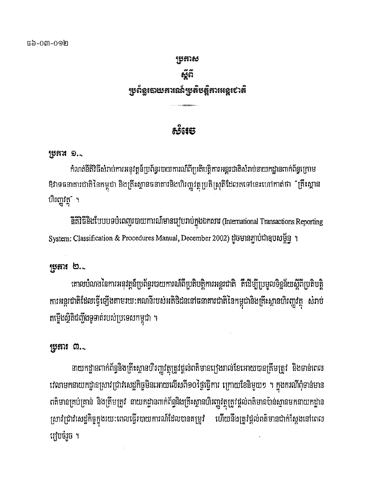### Rbkas อัติ ្សបូព័ន្ធបោយគារណ៍ប្រូតិបត្តិការអន្តរ៩ាតិ ——<del>——</del><br>333<del>31</del>

### ෯ඁ෪෪

### $155119...$

កំណត់នីតិវិធីសំរាប់ការអនុវត្តន៍ប្រព័ន្ធរបាយការណ៍ពីប្រតិបត្តិការអន្តរជាតិសំរាប់នាយកដ្ឋានពាក់ព័ន្ធក្រោម ឱវាទធនាគារជាតិនៃកម្ពុជា និងគ្រីះស្ថានធនាគារនិងហិរញ្ហវត្ថុប្រតិស្រុតិដែលតទៅនេះហៅកាត់ថា ឺគ្រីះស្ថាន ហិរញ្ញវត្ថុ" ។

នីតិវិធីនិងបែបបទបំពេញរបាយការណ៍មានរៀបរាប់ក្នុងឯកសារ (International Transactions Reporting System: Classification & Procedures Manual, December 2002) ដូចមានភ្ជាប់ជាឧបសម្ព័ន្ធ ។

### ស្រុកអ $\mathfrak{b}.$

គោលបំណងនៃការអនុវត្តន៍ប្រព័ន្ធរបាយការណ៍ពីប្រតិបត្តិការអន្តរជាតិ គឺដើម្បីប្រមូលទិន្នន័យស្តីពីប្រតិបត្តិ ការអន្តរជាតិដែលធ្វើឡើងតាមរយ:តណនីរបស់អតិថិជននៅធនាគារជាតិនៃកម្ពុជានិងគ្រឹះស្ថានហិរញ្ហវត្ថុ សំរាប់ តថ្លើងស្ថិតិជញ្ជីងទូទាត់របស់ប្រទេសកម្ពុជា ។

### រុប្ខតារ ៣. $\scriptstyle\mathtt{.}$

នាយកដ្ឋានពាក់ព័ន្ធនិងគ្រីះស្ថានហិរញ្ហវត្ថុត្រូវផ្តល់ពតិមានរេ្យងរាល់ខែអោយបានត្រីមត្រូវ និងទាន់ពេល វេលាមកនាយកដ្ឋានស្រាវជ្រាវសេដ្ឋកិច្ចមិនអោយលើសពី១០ថ្ងៃធ្វើការ ក្រោយខែនិមួយ១ ។ ក្នុងករណីពុំទាន់មាន ពតិមានគ្រប់គ្រាន់ និងត្រឹមត្រូវ នាយកដ្ឋានពាក់ព័ន្ធនិងត្រឹះស្ថានហិរញ្ញវត្ថុត្រូវផ្តល់ពតិមានប៉ាន់ស្មានមកនាយកដ្ឋាន ស្រាវជ្រាវសេដ្ឋកិច្ចក្នុងរយៈពេលធ្វើរបាយការណ៍ដែលបានតម្រូវ ហើយនឹងត្រូវផ្តល់ពត៌មានជាក់ស្តែងនៅពេល រវៀបចំរួច ។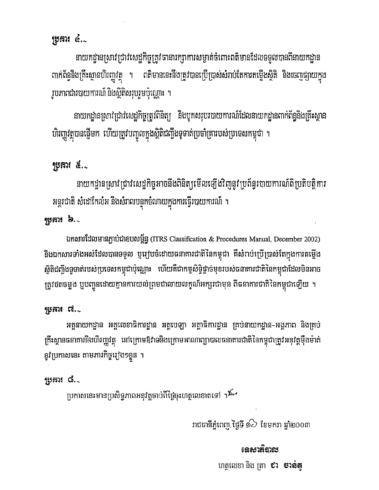### ប្រគារ ៤. $\scriptstyle\sim$

នាយកដ្ឋានស្រាវជ្រាវសេដ្ឋកិច្ចត្រូវបានារក្សាការសម្ងាត់ចំពោះពតិមានដែលទទួលបានពីនាយកដ្ឋាន ពាក់ព័ន្ធនិងគ្រឹះស្ថានហិរញ្ញវត្ថុ ។ ពតិមាននេះនឹងត្រូវបានប្រើប្រាស់សំរាប់តែការតម្លើងស្ថិតិ និងចេញផ្សាយក្នុង រូបភាពជារបាយការណ៍ និងស្ថិតិសរុបរួមប៉ុណ្ណោះ ។

នាយកដ្ឋានស្រាវជ្រាវសេដ្ឋកិច្ចត្រូវពិនិត្យ និងបូកសរុបរបាយការណ៍ដែលនាយកដ្ឋានពាក់ព័ន្ធនិងគ្រឹះស្ថាន ហិរញ្ញវត្ថុបានថ្មើមក ហើយត្រូវបញ្ចូលក្នុងស្ថិតិជញ្ជីងទូទាត់ប្រចាំគ្រារបស់ប្រទេសកម្ពុជា ។

### ប្រុការ ៥..

នាយកដ្ឋានស្រាវជ្រាវសេដ្ឋកិច្ចអាចនឹងពិនិត្យមើលឡើងវិញនូវប្រព័ន្ធរបាយការណ៍ពីប្រតិបត្តិការ អន្តរជាតិ សំដៅកែលំអ និងសំរាលបន្ទុកចំណាយក្នុងការធ្វើរបាយការណ៍ ។

### ប្រុកអរ  $\mathbf{b}$ . $\sim$

ឯកសារដែលមានភ្ជាប់ជាឧបសម្ព័ន្ធ (ITRS Classification & Procedures Manual, December 2002) និងឯកសារទាំងអស់ដែលបានទទួល ឬរៀបចំដោយធនាគារជាតិនៃកម្ពុជា គឺសំរាប់ប្រើប្រាស់តែក្នុងការតម្លើង ស្ថិតិជញ្ជីងទូទាត់របស់ប្រទេសកម្ពុជាប៉ុណ្ណោះ ហើយគឺជាកម្មសិទ្ធិថ្គាច់មុខរបស់ធនាគារជាតិនៃកម្ពុជាដែលមិនអាច ត្រូវថតចម្លង ឬបញ្ជូនដោយគ្មានការយល់ព្រមជាលាយលក្ខណ៍អក្សរជាមុន ពីធនាគារជាតិនៃកម្ពុជាឡើយ ។

### $15$ អារ $\alpha$  -  $\alpha$

អគ្គនាយកដ្ឋាន អគ្គលេខាធិការដ្ឋាន អគ្គបេឡា អគ្គាធិការដ្ឋាន គ្រប់នាយកដ្ឋាន-អង្គភាព និងគ្រប់ ត្រឹះស្ថានធនាគារនិងហិរញ្ញវត្ថុ នៅក្រោមឱវាទនិងក្រោមអាណាព្យាបាលធនាគារជាតិនៃកម្ពុជាត្រូវអនុវត្តម៉ឹងម៉ាត់ នូវប្រកាសនេះ តាមភារកិច្ចរៀង១ខ្លួន ។

### <u> ಗ್</u>ರಚಾಃ ಡೆ.್

ប្រកាសនេះមានប្រសិទ្ធភាពអនុវត្តចាប់ពីថ្ងៃចុះហត្ថលេខាតទៅ ។<sup>វី</sup>^

រាជធានីភ្នំពេញ ថ្ងៃទី ១ $\grave{\supset}$  ខែមករា ឆ្នាំ២០០៣

### <u>នេសាតិបាល</u>

ហត្ថលេខា និង ត្រា **៩រ ចាន់ត្**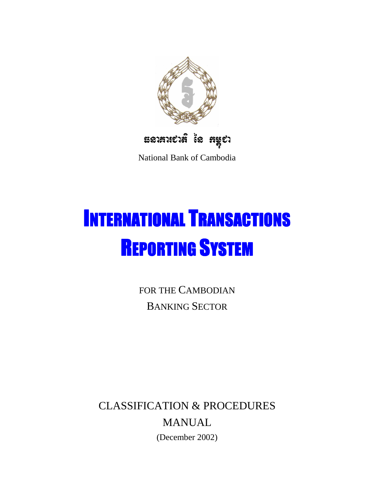

National Bank of Cambodia

# INTERNATIONAL TRANSACTIONS REPORTING SYSTEM

FOR THE CAMBODIAN BANKING SECTOR

CLASSIFICATION & PROCEDURES MANUAL (December 2002)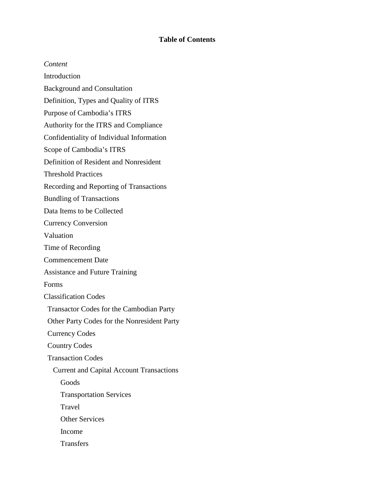### **Table of Contents**

*Content*  Introduction Background and Consultation Definition, Types and Quality of ITRS Purpose of Cambodia's ITRS Authority for the ITRS and Compliance Confidentiality of Individual Information Scope of Cambodia's ITRS Definition of Resident and Nonresident Threshold Practices Recording and Reporting of Transactions Bundling of Transactions Data Items to be Collected Currency Conversion Valuation Time of Recording Commencement Date Assistance and Future Training Forms Classification Codes Transactor Codes for the Cambodian Party Other Party Codes for the Nonresident Party Currency Codes Country Codes Transaction Codes Current and Capital Account Transactions Goods Transportation Services Travel Other Services Income **Transfers**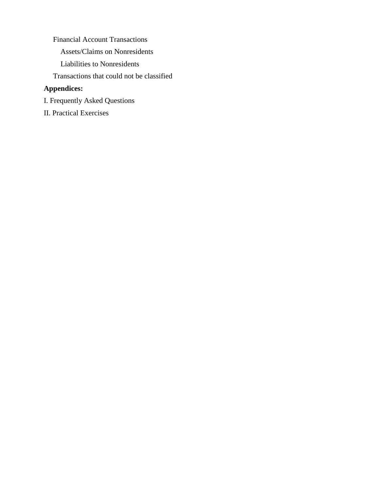Financial Account Transactions Assets/Claims on Nonresidents Liabilities to Nonresidents Transactions that could not be classified

### **Appendices:**

- I. Frequently Asked Questions
- II. Practical Exercises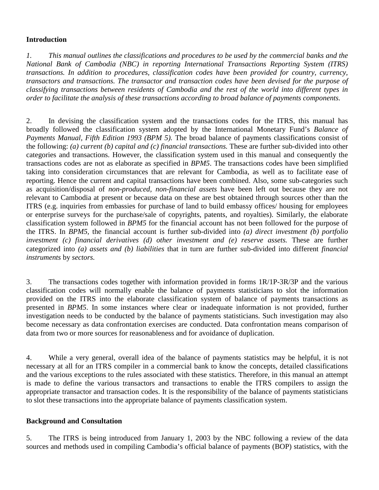### **Introduction**

*1. This manual outlines the classifications and procedures to be used by the commercial banks and the National Bank of Cambodia (NBC) in reporting International Transactions Reporting System (ITRS) transactions. In addition to procedures, classification codes have been provided for country, currency, transactors and transactions. The transactor and transaction codes have been devised for the purpose of classifying transactions between residents of Cambodia and the rest of the world into different types in order to facilitate the analysis of these transactions according to broad balance of payments components.* 

2. In devising the classification system and the transactions codes for the ITRS, this manual has broadly followed the classification system adopted by the International Monetary Fund's *Balance of Payments Manual, Fifth Edition 1993 (BPM 5).* The broad balance of payments classifications consist of the following: *(a) current (b) capital and (c) financial transactions.* These are further sub-divided into other categories and transactions. However, the classification system used in this manual and consequently the transactions codes are not as elaborate as specified in *BPM5*. The transactions codes have been simplified taking into consideration circumstances that are relevant for Cambodia, as well as to facilitate ease of reporting. Hence the current and capital transactions have been combined. Also, some sub-categories such as acquisition/disposal of *non-produced, non-financial assets* have been left out because they are not relevant to Cambodia at present or because data on these are best obtained through sources other than the ITRS (e.g. inquiries from embassies for purchase of land to build embassy offices/ housing for employees or enterprise surveys for the purchase/sale of copyrights, patents, and royalties). Similarly, the elaborate classification system followed in *BPM5* for the financial account has not been followed for the purpose of the ITRS. In *BPM5,* the financial account is further sub-divided into *(a) direct investment (b) portfolio investment (c) financial derivatives (d) other investment and (e) reserve assets.* These are further categorized into *(a) assets and (b) liabilities* that in turn are further sub-divided into different *financial instruments* by *sectors.* 

3. The transactions codes together with information provided in forms 1R/1P-3R/3P and the various classification codes will normally enable the balance of payments statisticians to slot the information provided on the ITRS into the elaborate classification system of balance of payments transactions as presented in *BPM5*. In some instances where clear or inadequate information is not provided, further investigation needs to be conducted by the balance of payments statisticians. Such investigation may also become necessary as data confrontation exercises are conducted. Data confrontation means comparison of data from two or more sources for reasonableness and for avoidance of duplication.

4. While a very general, overall idea of the balance of payments statistics may be helpful, it is not necessary at all for an ITRS compiler in a commercial bank to know the concepts, detailed classifications and the various exceptions to the rules associated with these statistics. Therefore, in this manual an attempt is made to define the various transactors and transactions to enable the ITRS compilers to assign the appropriate transactor and transaction codes. It is the responsibility of the balance of payments statisticians to slot these transactions into the appropriate balance of payments classification system.

### **Background and Consultation**

5. The ITRS is being introduced from January 1, 2003 by the NBC following a review of the data sources and methods used in compiling Cambodia's official balance of payments (BOP) statistics, with the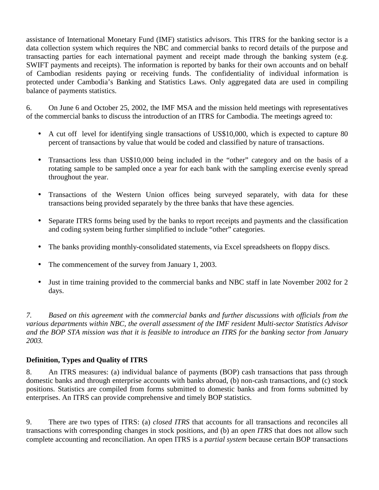assistance of International Monetary Fund (IMF) statistics advisors. This ITRS for the banking sector is a data collection system which requires the NBC and commercial banks to record details of the purpose and transacting parties for each international payment and receipt made through the banking system (e.g. SWIFT payments and receipts). The information is reported by banks for their own accounts and on behalf of Cambodian residents paying or receiving funds. The confidentiality of individual information is protected under Cambodia's Banking and Statistics Laws. Only aggregated data are used in compiling balance of payments statistics.

6. On June 6 and October 25, 2002, the IMF MSA and the mission held meetings with representatives of the commercial banks to discuss the introduction of an ITRS for Cambodia. The meetings agreed to:

- A cut off level for identifying single transactions of US\$10,000, which is expected to capture 80 percent of transactions by value that would be coded and classified by nature of transactions.
- Transactions less than US\$10,000 being included in the "other" category and on the basis of a rotating sample to be sampled once a year for each bank with the sampling exercise evenly spread throughout the year.
- Transactions of the Western Union offices being surveyed separately, with data for these transactions being provided separately by the three banks that have these agencies.
- Separate ITRS forms being used by the banks to report receipts and payments and the classification and coding system being further simplified to include "other" categories.
- The banks providing monthly-consolidated statements, via Excel spreadsheets on floppy discs.
- The commencement of the survey from January 1, 2003.
- Just in time training provided to the commercial banks and NBC staff in late November 2002 for 2 days.

*7. Based on this agreement with the commercial banks and further discussions with officials from the various departments within NBC, the overall assessment of the IMF resident Multi-sector Statistics Advisor and the BOP STA mission was that it is feasible to introduce an ITRS for the banking sector from January 2003.* 

### **Definition, Types and Quality of ITRS**

8. An ITRS measures: (a) individual balance of payments (BOP) cash transactions that pass through domestic banks and through enterprise accounts with banks abroad, (b) non-cash transactions, and (c) stock positions. Statistics are compiled from forms submitted to domestic banks and from forms submitted by enterprises. An ITRS can provide comprehensive and timely BOP statistics.

9. There are two types of ITRS: (a) *closed ITRS* that accounts for all transactions and reconciles all transactions with corresponding changes in stock positions, and (b) an *open ITRS* that does not allow such complete accounting and reconciliation. An open ITRS is a *partial system* because certain BOP transactions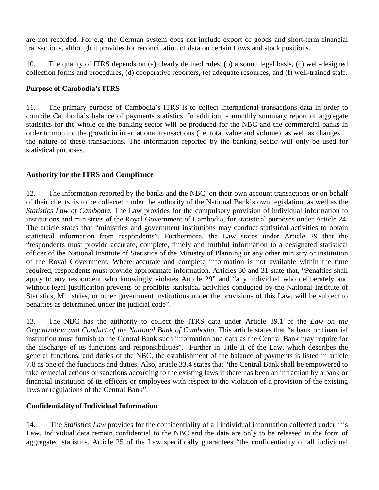are not recorded. For e.g. the German system does not include export of goods and short-term financial transactions, although it provides for reconciliation of data on certain flows and stock positions.

10. The quality of ITRS depends on (a) clearly defined rules, (b) a sound legal basis, (c) well-designed collection forms and procedures, (d) cooperative reporters, (e) adequate resources, and (f) well-trained staff.

### **Purpose of Cambodia's ITRS**

11. The primary purpose of Cambodia's ITRS is to collect international transactions data in order to compile Cambodia's balance of payments statistics. In addition, a monthly summary report of aggregate statistics for the whole of the banking sector will be produced for the NBC and the commercial banks in order to monitor the growth in international transactions (i.e. total value and volume), as well as changes in the nature of these transactions. The information reported by the banking sector will only be used for statistical purposes.

### **Authority for the ITRS and Compliance**

12. The information reported by the banks and the NBC, on their own account transactions or on behalf of their clients, is to be collected under the authority of the National Bank's own legislation, as well as the *Statistics Law of Cambodia.* The Law provides for the compulsory provision of individual information to institutions and ministries of the Royal Government of Cambodia, for statistical purposes under Article 24. The article states that "ministries and government institutions may conduct statistical activities to obtain statistical information from respondents". Furthermore, the Law states under Article 29 that the "respondents must provide accurate, complete, timely and truthful information to a designated statistical officer of the National Institute of Statistics of the Ministry of Planning or any other ministry or institution of the Royal Government. Where accurate and complete information is not available within the time required, respondents must provide approximate information. Articles 30 and 31 state that, "Penalties shall apply to any respondent who knowingly violates Article 29" and "any individual who deliberately and without legal justification prevents or prohibits statistical activities conducted by the National Institute of Statistics, Ministries, or other government institutions under the provisions of this Law, will be subject to penalties as determined under the judicial code".

13. The NBC has the authority to collect the ITRS data under Article 39.1 of the *Law on the Organization and Conduct of the National Bank of Cambodia*. This article states that "a bank or financial institution must furnish to the Central Bank such information and data as the Central Bank may require for the discharge of its functions and responsibilities". Further in Title II of the Law, which describes the general functions, and duties of the NBC, the establishment of the balance of payments is listed in article 7.8 as one of the functions and duties. Also, article 33.4 states that "the Central Bank shall be empowered to take remedial actions or sanctions according to the existing laws if there has been an infraction by a bank or financial institution of its officers or employees with respect to the violation of a provision of the existing laws or regulations of the Central Bank".

### **Confidentiality of Individual Information**

14. The *Statistics Law* provides for the confidentiality of all individual information collected under this Law. Individual data remain confidential to the NBC and the data are only to be released in the form of aggregated statistics. Article 25 of the Law specifically guarantees "the confidentiality of all individual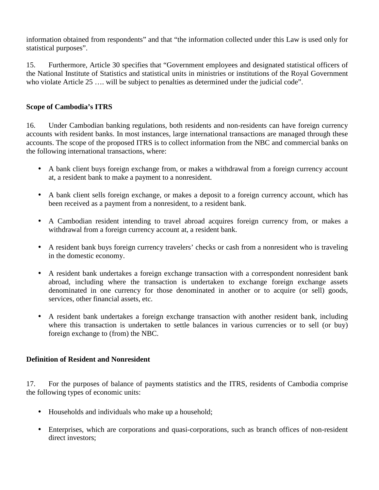information obtained from respondents" and that "the information collected under this Law is used only for statistical purposes".

15. Furthermore, Article 30 specifies that "Government employees and designated statistical officers of the National Institute of Statistics and statistical units in ministries or institutions of the Royal Government who violate Article 25 .... will be subject to penalties as determined under the judicial code".

### **Scope of Cambodia's ITRS**

16. Under Cambodian banking regulations, both residents and non-residents can have foreign currency accounts with resident banks. In most instances, large international transactions are managed through these accounts. The scope of the proposed ITRS is to collect information from the NBC and commercial banks on the following international transactions, where:

- A bank client buys foreign exchange from, or makes a withdrawal from a foreign currency account at, a resident bank to make a payment to a nonresident.
- A bank client sells foreign exchange, or makes a deposit to a foreign currency account, which has been received as a payment from a nonresident, to a resident bank.
- A Cambodian resident intending to travel abroad acquires foreign currency from, or makes a withdrawal from a foreign currency account at, a resident bank.
- A resident bank buys foreign currency travelers' checks or cash from a nonresident who is traveling in the domestic economy.
- A resident bank undertakes a foreign exchange transaction with a correspondent nonresident bank abroad, including where the transaction is undertaken to exchange foreign exchange assets denominated in one currency for those denominated in another or to acquire (or sell) goods, services, other financial assets, etc.
- A resident bank undertakes a foreign exchange transaction with another resident bank, including where this transaction is undertaken to settle balances in various currencies or to sell (or buy) foreign exchange to (from) the NBC.

### **Definition of Resident and Nonresident**

17. For the purposes of balance of payments statistics and the ITRS, residents of Cambodia comprise the following types of economic units:

- Households and individuals who make up a household;
- Enterprises, which are corporations and quasi-corporations, such as branch offices of non-resident direct investors: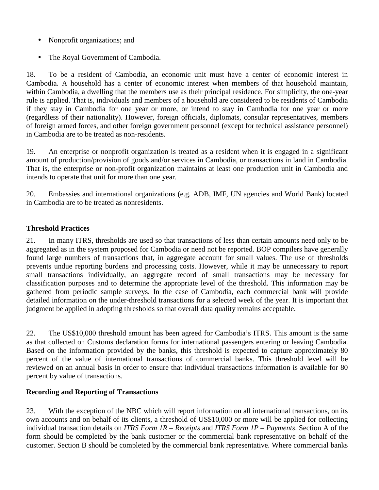- Nonprofit organizations; and
- The Royal Government of Cambodia.

18. To be a resident of Cambodia, an economic unit must have a center of economic interest in Cambodia. A household has a center of economic interest when members of that household maintain, within Cambodia, a dwelling that the members use as their principal residence. For simplicity, the one-year rule is applied. That is, individuals and members of a household are considered to be residents of Cambodia if they stay in Cambodia for one year or more, or intend to stay in Cambodia for one year or more (regardless of their nationality). However, foreign officials, diplomats, consular representatives, members of foreign armed forces, and other foreign government personnel (except for technical assistance personnel) in Cambodia are to be treated as non-residents.

19. An enterprise or nonprofit organization is treated as a resident when it is engaged in a significant amount of production/provision of goods and/or services in Cambodia, or transactions in land in Cambodia. That is, the enterprise or non-profit organization maintains at least one production unit in Cambodia and intends to operate that unit for more than one year.

20. Embassies and international organizations (e.g. ADB, IMF, UN agencies and World Bank) located in Cambodia are to be treated as nonresidents.

### **Threshold Practices**

21. In many ITRS, thresholds are used so that transactions of less than certain amounts need only to be aggregated as in the system proposed for Cambodia or need not be reported. BOP compilers have generally found large numbers of transactions that, in aggregate account for small values. The use of thresholds prevents undue reporting burdens and processing costs. However, while it may be unnecessary to report small transactions individually, an aggregate record of small transactions may be necessary for classification purposes and to determine the appropriate level of the threshold. This information may be gathered from periodic sample surveys. In the case of Cambodia, each commercial bank will provide detailed information on the under-threshold transactions for a selected week of the year. It is important that judgment be applied in adopting thresholds so that overall data quality remains acceptable.

22. The US\$10,000 threshold amount has been agreed for Cambodia's ITRS. This amount is the same as that collected on Customs declaration forms for international passengers entering or leaving Cambodia. Based on the information provided by the banks, this threshold is expected to capture approximately 80 percent of the value of international transactions of commercial banks. This threshold level will be reviewed on an annual basis in order to ensure that individual transactions information is available for 80 percent by value of transactions.

### **Recording and Reporting of Transactions**

23. With the exception of the NBC which will report information on all international transactions, on its own accounts and on behalf of its clients, a threshold of US\$10,000 or more will be applied for collecting individual transaction details on *ITRS Form 1R – Receipts* and *ITRS Form 1P – Payments*. Section A of the form should be completed by the bank customer or the commercial bank representative on behalf of the customer. Section B should be completed by the commercial bank representative. Where commercial banks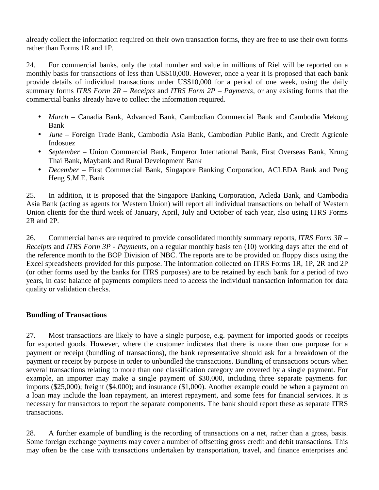already collect the information required on their own transaction forms, they are free to use their own forms rather than Forms 1R and 1P.

24. For commercial banks, only the total number and value in millions of Riel will be reported on a monthly basis for transactions of less than US\$10,000. However, once a year it is proposed that each bank provide details of individual transactions under US\$10,000 for a period of one week, using the daily summary forms *ITRS Form 2R – Receipts* and *ITRS Form 2P – Payments*, or any existing forms that the commercial banks already have to collect the information required.

- *March* Canadia Bank, Advanced Bank, Cambodian Commercial Bank and Cambodia Mekong Bank
- *June* Foreign Trade Bank, Cambodia Asia Bank, Cambodian Public Bank, and Credit Agricole Indosuez
- *September* Union Commercial Bank, Emperor International Bank, First Overseas Bank, Krung Thai Bank, Maybank and Rural Development Bank
- *December* First Commercial Bank, Singapore Banking Corporation, ACLEDA Bank and Peng Heng S.M.E. Bank

25. In addition, it is proposed that the Singapore Banking Corporation, Acleda Bank, and Cambodia Asia Bank (acting as agents for Western Union) will report all individual transactions on behalf of Western Union clients for the third week of January, April, July and October of each year, also using ITRS Forms 2R and 2P.

26. Commercial banks are required to provide consolidated monthly summary reports, *ITRS Form 3R – Receipts* and *ITRS Form 3P - Payments*, on a regular monthly basis ten (10) working days after the end of the reference month to the BOP Division of NBC. The reports are to be provided on floppy discs using the Excel spreadsheets provided for this purpose. The information collected on ITRS Forms 1R, 1P, 2R and 2P (or other forms used by the banks for ITRS purposes) are to be retained by each bank for a period of two years, in case balance of payments compilers need to access the individual transaction information for data quality or validation checks.

### **Bundling of Transactions**

27. Most transactions are likely to have a single purpose, e.g. payment for imported goods or receipts for exported goods. However, where the customer indicates that there is more than one purpose for a payment or receipt (bundling of transactions), the bank representative should ask for a breakdown of the payment or receipt by purpose in order to unbundled the transactions. Bundling of transactions occurs when several transactions relating to more than one classification category are covered by a single payment. For example, an importer may make a single payment of \$30,000, including three separate payments for: imports (\$25,000); freight (\$4,000); and insurance (\$1,000). Another example could be when a payment on a loan may include the loan repayment, an interest repayment, and some fees for financial services. It is necessary for transactors to report the separate components. The bank should report these as separate ITRS transactions.

28. A further example of bundling is the recording of transactions on a net, rather than a gross, basis. Some foreign exchange payments may cover a number of offsetting gross credit and debit transactions. This may often be the case with transactions undertaken by transportation, travel, and finance enterprises and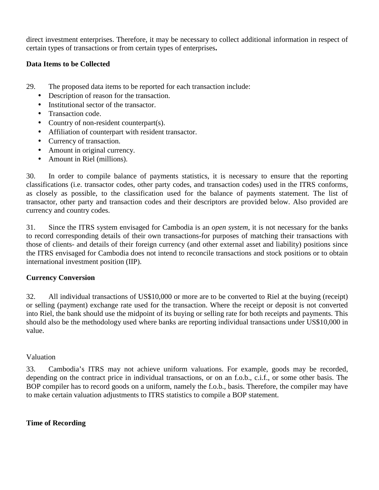direct investment enterprises. Therefore, it may be necessary to collect additional information in respect of certain types of transactions or from certain types of enterprises**.** 

### **Data Items to be Collected**

- 29. The proposed data items to be reported for each transaction include:
	- Description of reason for the transaction.
	- Institutional sector of the transactor.
	- Transaction code.
	- Country of non-resident counterpart(s).
	- Affiliation of counterpart with resident transactor.
	- Currency of transaction.
	- Amount in original currency.
	- Amount in Riel (millions).

30. In order to compile balance of payments statistics, it is necessary to ensure that the reporting classifications (i.e. transactor codes, other party codes, and transaction codes) used in the ITRS conforms, as closely as possible, to the classification used for the balance of payments statement. The list of transactor, other party and transaction codes and their descriptors are provided below. Also provided are currency and country codes.

31. Since the ITRS system envisaged for Cambodia is an *open system*, it is not necessary for the banks to record corresponding details of their own transactions-for purposes of matching their transactions with those of clients- and details of their foreign currency (and other external asset and liability) positions since the ITRS envisaged for Cambodia does not intend to reconcile transactions and stock positions or to obtain international investment position (IIP).

### **Currency Conversion**

32. All individual transactions of US\$10,000 or more are to be converted to Riel at the buying (receipt) or selling (payment) exchange rate used for the transaction. Where the receipt or deposit is not converted into Riel, the bank should use the midpoint of its buying or selling rate for both receipts and payments. This should also be the methodology used where banks are reporting individual transactions under US\$10,000 in value.

### Valuation

33. Cambodia's ITRS may not achieve uniform valuations. For example, goods may be recorded, depending on the contract price in individual transactions, or on an f.o.b., c.i.f., or some other basis. The BOP compiler has to record goods on a uniform, namely the f.o.b., basis. Therefore, the compiler may have to make certain valuation adjustments to ITRS statistics to compile a BOP statement.

### **Time of Recording**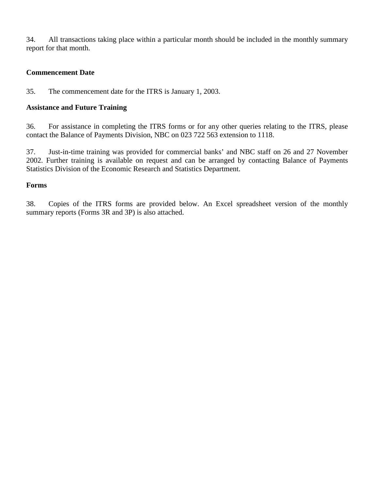34. All transactions taking place within a particular month should be included in the monthly summary report for that month.

### **Commencement Date**

35. The commencement date for the ITRS is January 1, 2003.

### **Assistance and Future Training**

36. For assistance in completing the ITRS forms or for any other queries relating to the ITRS, please contact the Balance of Payments Division, NBC on 023 722 563 extension to 1118.

37. Just-in-time training was provided for commercial banks' and NBC staff on 26 and 27 November 2002. Further training is available on request and can be arranged by contacting Balance of Payments Statistics Division of the Economic Research and Statistics Department.

### **Forms**

38. Copies of the ITRS forms are provided below. An Excel spreadsheet version of the monthly summary reports (Forms 3R and 3P) is also attached.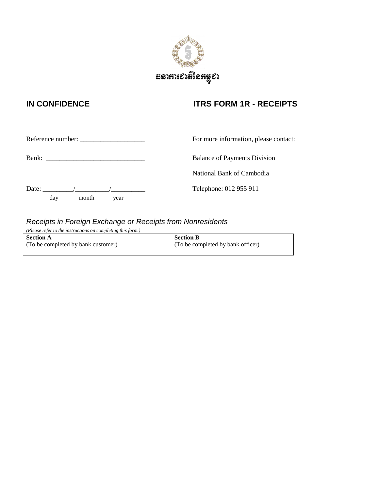

### **IN CONFIDENCE ITRS FORM 1R - RECEIPTS**

|       |     |       | Reference number:                                                                                               | For more information, please contact: |
|-------|-----|-------|-----------------------------------------------------------------------------------------------------------------|---------------------------------------|
| Bank: |     |       | the contract of the contract of the contract of the contract of the contract of the contract of the contract of | <b>Balance of Payments Division</b>   |
|       |     |       |                                                                                                                 | National Bank of Cambodia             |
| Date: |     |       |                                                                                                                 | Telephone: 012 955 911                |
|       | day | month | year                                                                                                            |                                       |

### Receipts in Foreign Exchange or Receipts from Nonresidents

*(Please refer to the instructions on completing this form.)* 

**Section A** (To be completed by bank customer) **Section B** (To be completed by bank officer)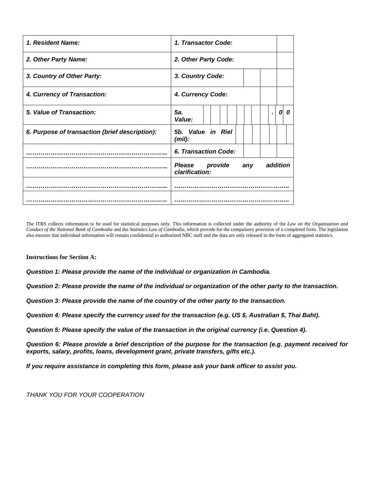| 1. Resident Name:                              | 1. Transactor Code:                                    |
|------------------------------------------------|--------------------------------------------------------|
| 2. Other Party Name:                           | 2. Other Party Code:                                   |
| 3. Country of Other Party:                     | 3. Country Code:                                       |
| 4. Currency of Transaction:                    | 4. Currency Code:                                      |
| 5. Value of Transaction:                       | 5a.<br>0<br>0<br>Value:                                |
| 6. Purpose of transaction (brief description): | 5b. Value in Riel<br>$(mil)$ :                         |
|                                                | 6. Transaction Code:                                   |
|                                                | Please<br>addition<br>provide<br>any<br>clarification: |
|                                                |                                                        |
|                                                |                                                        |

The ITRS collects information to be used for statistical purposes only. This information is collected under the authority of the *Law on the Organization and Conduct of the National Bank of Cambodia* and the *Statistics Law of Cambodia*, which provide for the compulsory provision of a completed form. The legislation also ensures that individual information will remain confidential to authorized NBC staff and the data are only released in the form of aggregated statistics.

**Instructions for Section A:** 

**Question 1: Please provide the name of the individual or organization in Cambodia.** 

**Question 2: Please provide the name of the individual or organization of the other party to the transaction.** 

**Question 3: Please provide the name of the country of the other party to the transaction.** 

**Question 4: Please specify the currency used for the transaction (e.g. US \$, Australian \$, Thai Baht).**

**Question 5: Please specify the value of the transaction in the original currency (i.e. Question 4).** 

**Question 6: Please provide a brief description of the purpose for the transaction (e.g. payment received for exports, salary, profits, loans, development grant, private transfers, gifts etc.).** 

**If you require assistance in completing this form, please ask your bank officer to assist you.** 

THANK YOU FOR YOUR COOPERATION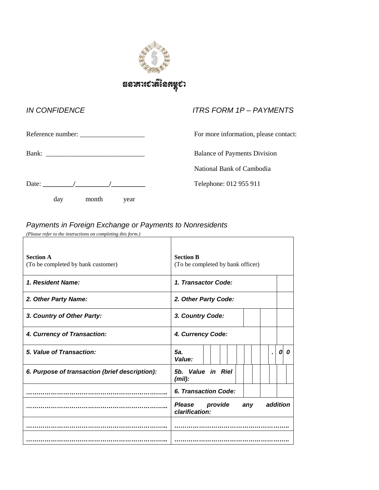

## IN CONFIDENCE ITRS FORM 1P – PAYMENTS Reference number: \_\_\_\_\_\_\_\_\_\_\_\_\_\_\_\_\_\_\_ For more information, please contact: Bank: \_\_\_\_\_\_\_\_\_\_\_\_\_\_\_\_\_\_\_\_\_\_\_\_\_\_\_\_\_Balance of Payments Division National Bank of Cambodia Date: **\_\_\_\_\_\_\_\_\_/\_\_\_\_\_\_\_\_\_\_/\_\_\_\_\_\_\_\_\_\_** Telephone: 012 955 911 day month year

### Payments in Foreign Exchange or Payments to Nonresidents

| (Please refer to the instructions on completing this form.) |                                                               |
|-------------------------------------------------------------|---------------------------------------------------------------|
| <b>Section A</b><br>(To be completed by bank customer)      | <b>Section B</b><br>(To be completed by bank officer)         |
| 1. Resident Name:                                           | 1. Transactor Code:                                           |
| 2. Other Party Name:                                        | 2. Other Party Code:                                          |
| 3. Country of Other Party:                                  | 3. Country Code:                                              |
| 4. Currency of Transaction:                                 | 4. Currency Code:                                             |
| 5. Value of Transaction:                                    | 5а.<br>0<br>0<br>Value:                                       |
| 6. Purpose of transaction (brief description):              | 5b. Value in Riel<br>$(mil)$ :                                |
|                                                             | 6. Transaction Code:                                          |
|                                                             | <b>Please</b><br>provide<br>addition<br>any<br>clarification: |
|                                                             |                                                               |
|                                                             |                                                               |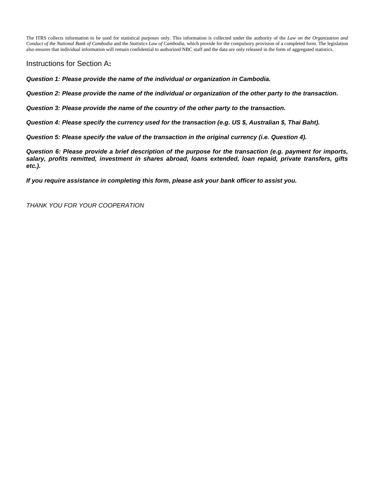The ITRS collects information to be used for statistical purposes only. This information is collected under the authority of the *Law on the Organization and Conduct of the National Bank of Cambodia* and the *Statistics Law of Cambodia*, which provide for the compulsory provision of a completed form. The legislation also ensures that individual information will remain confidential to authorized NBC staff and the data are only released in the form of aggregated statistics.

Instructions for Section A**:** 

**Question 1: Please provide the name of the individual or organization in Cambodia.** 

**Question 2: Please provide the name of the individual or organization of the other party to the transaction.** 

**Question 3: Please provide the name of the country of the other party to the transaction.** 

**Question 4: Please specify the currency used for the transaction (e.g. US \$, Australian \$, Thai Baht).**

**Question 5: Please specify the value of the transaction in the original currency (i.e. Question 4).** 

**Question 6: Please provide a brief description of the purpose for the transaction (e.g. payment for imports, salary, profits remitted, investment in shares abroad, loans extended, loan repaid, private transfers, gifts etc.).** 

**If you require assistance in completing this form, please ask your bank officer to assist you.** 

THANK YOU FOR YOUR COOPERATION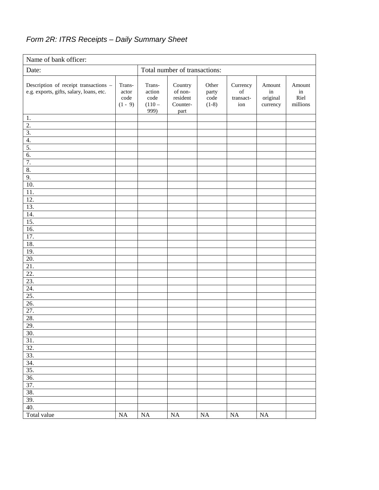### Form 2R: ITRS Receipts – Daily Summary Sheet

| Name of bank officer:                                                             |                                                       |                                              |                                                    |                                                    |                                    |                                      |                                  |
|-----------------------------------------------------------------------------------|-------------------------------------------------------|----------------------------------------------|----------------------------------------------------|----------------------------------------------------|------------------------------------|--------------------------------------|----------------------------------|
| Date:                                                                             | Total number of transactions:                         |                                              |                                                    |                                                    |                                    |                                      |                                  |
| Description of receipt transactions -<br>e.g. exports, gifts, salary, loans, etc. | Trans-<br>actor<br>$\operatorname{code}$<br>$(1 - 9)$ | Trans-<br>action<br>code<br>$(110 -$<br>999) | Country<br>of non-<br>resident<br>Counter-<br>part | Other<br>party<br>$\operatorname{code}$<br>$(1-8)$ | Currency<br>of<br>transact-<br>ion | Amount<br>in<br>original<br>currency | Amount<br>in<br>Riel<br>millions |
| 1.                                                                                |                                                       |                                              |                                                    |                                                    |                                    |                                      |                                  |
| $\overline{2}$ .                                                                  |                                                       |                                              |                                                    |                                                    |                                    |                                      |                                  |
| 3.                                                                                |                                                       |                                              |                                                    |                                                    |                                    |                                      |                                  |
| 4.                                                                                |                                                       |                                              |                                                    |                                                    |                                    |                                      |                                  |
| 5.                                                                                |                                                       |                                              |                                                    |                                                    |                                    |                                      |                                  |
| 6.<br>7.                                                                          |                                                       |                                              |                                                    |                                                    |                                    |                                      |                                  |
| 8.                                                                                |                                                       |                                              |                                                    |                                                    |                                    |                                      |                                  |
| 9.                                                                                |                                                       |                                              |                                                    |                                                    |                                    |                                      |                                  |
| 10.                                                                               |                                                       |                                              |                                                    |                                                    |                                    |                                      |                                  |
| 11.                                                                               |                                                       |                                              |                                                    |                                                    |                                    |                                      |                                  |
| $\overline{12}$ .                                                                 |                                                       |                                              |                                                    |                                                    |                                    |                                      |                                  |
| 13.                                                                               |                                                       |                                              |                                                    |                                                    |                                    |                                      |                                  |
| 14.                                                                               |                                                       |                                              |                                                    |                                                    |                                    |                                      |                                  |
| 15.                                                                               |                                                       |                                              |                                                    |                                                    |                                    |                                      |                                  |
| $\overline{16}$ .                                                                 |                                                       |                                              |                                                    |                                                    |                                    |                                      |                                  |
| 17.                                                                               |                                                       |                                              |                                                    |                                                    |                                    |                                      |                                  |
| 18.                                                                               |                                                       |                                              |                                                    |                                                    |                                    |                                      |                                  |
| 19.                                                                               |                                                       |                                              |                                                    |                                                    |                                    |                                      |                                  |
| 20.                                                                               |                                                       |                                              |                                                    |                                                    |                                    |                                      |                                  |
| $\overline{21}$                                                                   |                                                       |                                              |                                                    |                                                    |                                    |                                      |                                  |
| 22.                                                                               |                                                       |                                              |                                                    |                                                    |                                    |                                      |                                  |
| 23.                                                                               |                                                       |                                              |                                                    |                                                    |                                    |                                      |                                  |
| 24.                                                                               |                                                       |                                              |                                                    |                                                    |                                    |                                      |                                  |
| 25.<br>26.                                                                        |                                                       |                                              |                                                    |                                                    |                                    |                                      |                                  |
| 27.                                                                               |                                                       |                                              |                                                    |                                                    |                                    |                                      |                                  |
| 28.                                                                               |                                                       |                                              |                                                    |                                                    |                                    |                                      |                                  |
| 29.                                                                               |                                                       |                                              |                                                    |                                                    |                                    |                                      |                                  |
| 30.                                                                               |                                                       |                                              |                                                    |                                                    |                                    |                                      |                                  |
| 31.                                                                               |                                                       |                                              |                                                    |                                                    |                                    |                                      |                                  |
| 32.                                                                               |                                                       |                                              |                                                    |                                                    |                                    |                                      |                                  |
| 33.                                                                               |                                                       |                                              |                                                    |                                                    |                                    |                                      |                                  |
| 34.                                                                               |                                                       |                                              |                                                    |                                                    |                                    |                                      |                                  |
| 35.                                                                               |                                                       |                                              |                                                    |                                                    |                                    |                                      |                                  |
| 36.                                                                               |                                                       |                                              |                                                    |                                                    |                                    |                                      |                                  |
| 37.                                                                               |                                                       |                                              |                                                    |                                                    |                                    |                                      |                                  |
| 38.                                                                               |                                                       |                                              |                                                    |                                                    |                                    |                                      |                                  |
| 39.                                                                               |                                                       |                                              |                                                    |                                                    |                                    |                                      |                                  |
| 40.                                                                               |                                                       |                                              |                                                    |                                                    |                                    |                                      |                                  |
| Total value                                                                       | $\overline{NA}$                                       | $\rm NA$                                     | $\rm NA$                                           | $\rm NA$                                           | $\rm NA$                           | $\rm NA$                             |                                  |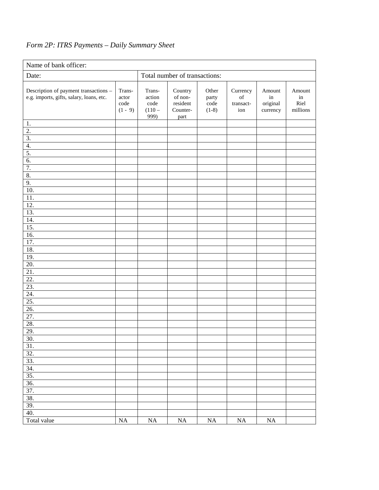### *Form 2P: ITRS Payments – Daily Summary Sheet*

| Name of bank officer:                                                             |                                      |                                              |                                                    |                                                    |                                                                                                                                    |                                      |                                  |
|-----------------------------------------------------------------------------------|--------------------------------------|----------------------------------------------|----------------------------------------------------|----------------------------------------------------|------------------------------------------------------------------------------------------------------------------------------------|--------------------------------------|----------------------------------|
| Date:                                                                             | Total number of transactions:        |                                              |                                                    |                                                    |                                                                                                                                    |                                      |                                  |
| Description of payment transactions -<br>e.g. imports, gifts, salary, loans, etc. | Trans-<br>actor<br>code<br>$(1 - 9)$ | Trans-<br>action<br>code<br>$(110 -$<br>999) | Country<br>of non-<br>resident<br>Counter-<br>part | Other<br>party<br>$\operatorname{code}$<br>$(1-8)$ | Currency<br>$% \left( \left( \mathcal{A},\mathcal{A}\right) \right) =\left( \mathcal{A},\mathcal{A}\right)$ of<br>transact-<br>ion | Amount<br>in<br>original<br>currency | Amount<br>in<br>Riel<br>millions |
| 1.                                                                                |                                      |                                              |                                                    |                                                    |                                                                                                                                    |                                      |                                  |
| 2.                                                                                |                                      |                                              |                                                    |                                                    |                                                                                                                                    |                                      |                                  |
| 3.                                                                                |                                      |                                              |                                                    |                                                    |                                                                                                                                    |                                      |                                  |
| 4.                                                                                |                                      |                                              |                                                    |                                                    |                                                                                                                                    |                                      |                                  |
| 5.<br>6.                                                                          |                                      |                                              |                                                    |                                                    |                                                                                                                                    |                                      |                                  |
| 7.                                                                                |                                      |                                              |                                                    |                                                    |                                                                                                                                    |                                      |                                  |
| $\overline{8}$ .                                                                  |                                      |                                              |                                                    |                                                    |                                                                                                                                    |                                      |                                  |
| 9.                                                                                |                                      |                                              |                                                    |                                                    |                                                                                                                                    |                                      |                                  |
| 10.                                                                               |                                      |                                              |                                                    |                                                    |                                                                                                                                    |                                      |                                  |
| 11.                                                                               |                                      |                                              |                                                    |                                                    |                                                                                                                                    |                                      |                                  |
| $\overline{12}$ .                                                                 |                                      |                                              |                                                    |                                                    |                                                                                                                                    |                                      |                                  |
| 13.                                                                               |                                      |                                              |                                                    |                                                    |                                                                                                                                    |                                      |                                  |
| $\overline{14}$ .                                                                 |                                      |                                              |                                                    |                                                    |                                                                                                                                    |                                      |                                  |
| 15.                                                                               |                                      |                                              |                                                    |                                                    |                                                                                                                                    |                                      |                                  |
| 16.                                                                               |                                      |                                              |                                                    |                                                    |                                                                                                                                    |                                      |                                  |
| 17.                                                                               |                                      |                                              |                                                    |                                                    |                                                                                                                                    |                                      |                                  |
| 18.<br>19.                                                                        |                                      |                                              |                                                    |                                                    |                                                                                                                                    |                                      |                                  |
| $\overline{20}$ .                                                                 |                                      |                                              |                                                    |                                                    |                                                                                                                                    |                                      |                                  |
| $\overline{21}$                                                                   |                                      |                                              |                                                    |                                                    |                                                                                                                                    |                                      |                                  |
| 22.                                                                               |                                      |                                              |                                                    |                                                    |                                                                                                                                    |                                      |                                  |
| 23.                                                                               |                                      |                                              |                                                    |                                                    |                                                                                                                                    |                                      |                                  |
| 24.                                                                               |                                      |                                              |                                                    |                                                    |                                                                                                                                    |                                      |                                  |
| 25.                                                                               |                                      |                                              |                                                    |                                                    |                                                                                                                                    |                                      |                                  |
| $\overline{26}$                                                                   |                                      |                                              |                                                    |                                                    |                                                                                                                                    |                                      |                                  |
| 27.                                                                               |                                      |                                              |                                                    |                                                    |                                                                                                                                    |                                      |                                  |
| 28.                                                                               |                                      |                                              |                                                    |                                                    |                                                                                                                                    |                                      |                                  |
| 29.                                                                               |                                      |                                              |                                                    |                                                    |                                                                                                                                    |                                      |                                  |
| 30.                                                                               |                                      |                                              |                                                    |                                                    |                                                                                                                                    |                                      |                                  |
| 31.<br>32.                                                                        |                                      |                                              |                                                    |                                                    |                                                                                                                                    |                                      |                                  |
| 33.                                                                               |                                      |                                              |                                                    |                                                    |                                                                                                                                    |                                      |                                  |
| 34.                                                                               |                                      |                                              |                                                    |                                                    |                                                                                                                                    |                                      |                                  |
| 35.                                                                               |                                      |                                              |                                                    |                                                    |                                                                                                                                    |                                      |                                  |
| 36.                                                                               |                                      |                                              |                                                    |                                                    |                                                                                                                                    |                                      |                                  |
| 37.                                                                               |                                      |                                              |                                                    |                                                    |                                                                                                                                    |                                      |                                  |
| 38.                                                                               |                                      |                                              |                                                    |                                                    |                                                                                                                                    |                                      |                                  |
| 39.                                                                               |                                      |                                              |                                                    |                                                    |                                                                                                                                    |                                      |                                  |
| 40.                                                                               |                                      |                                              |                                                    |                                                    |                                                                                                                                    |                                      |                                  |
| Total value                                                                       | NA                                   | NA                                           | $\rm NA$                                           | $\rm NA$                                           | $\rm NA$                                                                                                                           | $\rm NA$                             |                                  |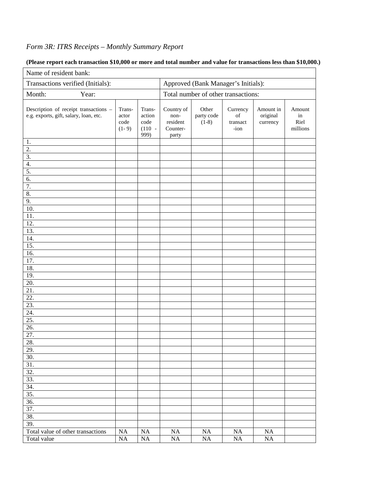### *Form 3R: ITRS Receipts – Monthly Summary Report*

#### Name of resident bank: Transactions verified (Initials): <br> Approved (Bank Manager's Initials): Month: Year: Year: Total number of other transactions: Description of receipt transactions – e.g. exports, gift, salary, loan, etc. Transactor code  $(1 - 9)$ Transaction code (110 -  $999)$ Country of nonresident Counterparty Other party code  $(1-8)$ **Currency** of transact -ion Amount in original currency Amount in Riel millions 1. 2. 3. 4. 5. 6. 7. 8. 9. 10. 11. 12. 13. 14. 15. 16. 17. 18. 19. 20. 21. 22. 23. 24. 25. 26. 27. 28. 29. 30. 31. 32. 33. 34. 35. 36. 37. 38. 39. Total value of other transactions NA NA NA NA NA NA Total value

#### **(Please report each transaction \$10,000 or more and total number and value for transactions less than \$10,000.)**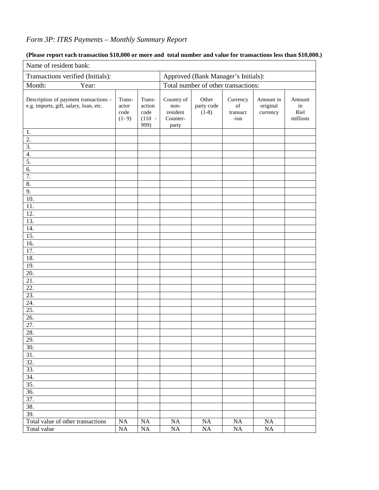### *Form 3P: ITRS Payments – Monthly Summary Report*

| Name of resident bank:                                                          |                                    |                                              |                                                     |                                |                                    |                                   |                                  |  |
|---------------------------------------------------------------------------------|------------------------------------|----------------------------------------------|-----------------------------------------------------|--------------------------------|------------------------------------|-----------------------------------|----------------------------------|--|
| Transactions verified (Initials):                                               |                                    |                                              | Approved (Bank Manager's Initials):                 |                                |                                    |                                   |                                  |  |
| Month:<br>Year:                                                                 |                                    |                                              | Total number of other transactions:                 |                                |                                    |                                   |                                  |  |
| Description of payment transactions -<br>e.g. imports, gift, salary, loan, etc. | Trans-<br>actor<br>code<br>$(1-9)$ | Trans-<br>action<br>code<br>$(110 -$<br>999) | Country of<br>non-<br>resident<br>Counter-<br>party | Other<br>party code<br>$(1-8)$ | Currency<br>of<br>transact<br>-ion | Amount in<br>original<br>currency | Amount<br>in<br>Riel<br>millions |  |
| 1.                                                                              |                                    |                                              |                                                     |                                |                                    |                                   |                                  |  |
| 2.                                                                              |                                    |                                              |                                                     |                                |                                    |                                   |                                  |  |
| $\overline{3}$ .                                                                |                                    |                                              |                                                     |                                |                                    |                                   |                                  |  |
| $\overline{4}$ .                                                                |                                    |                                              |                                                     |                                |                                    |                                   |                                  |  |
| 5.                                                                              |                                    |                                              |                                                     |                                |                                    |                                   |                                  |  |
| 6.                                                                              |                                    |                                              |                                                     |                                |                                    |                                   |                                  |  |
| $\overline{7}$ .                                                                |                                    |                                              |                                                     |                                |                                    |                                   |                                  |  |
| 8.                                                                              |                                    |                                              |                                                     |                                |                                    |                                   |                                  |  |
| 9.                                                                              |                                    |                                              |                                                     |                                |                                    |                                   |                                  |  |
| $\overline{10}$ .                                                               |                                    |                                              |                                                     |                                |                                    |                                   |                                  |  |
| 11.                                                                             |                                    |                                              |                                                     |                                |                                    |                                   |                                  |  |
| $\overline{12}$ .                                                               |                                    |                                              |                                                     |                                |                                    |                                   |                                  |  |
| 13.                                                                             |                                    |                                              |                                                     |                                |                                    |                                   |                                  |  |
| $\overline{14}$ .                                                               |                                    |                                              |                                                     |                                |                                    |                                   |                                  |  |
| 15.                                                                             |                                    |                                              |                                                     |                                |                                    |                                   |                                  |  |
| $\overline{16}$ .                                                               |                                    |                                              |                                                     |                                |                                    |                                   |                                  |  |
| 17.                                                                             |                                    |                                              |                                                     |                                |                                    |                                   |                                  |  |
| 18.                                                                             |                                    |                                              |                                                     |                                |                                    |                                   |                                  |  |
| 19.                                                                             |                                    |                                              |                                                     |                                |                                    |                                   |                                  |  |
| 20.<br>$\overline{21}$ .                                                        |                                    |                                              |                                                     |                                |                                    |                                   |                                  |  |
| $\overline{22}$ .                                                               |                                    |                                              |                                                     |                                |                                    |                                   |                                  |  |
| 23.                                                                             |                                    |                                              |                                                     |                                |                                    |                                   |                                  |  |
| 24.                                                                             |                                    |                                              |                                                     |                                |                                    |                                   |                                  |  |
| $\overline{25}$ .                                                               |                                    |                                              |                                                     |                                |                                    |                                   |                                  |  |
| 26.                                                                             |                                    |                                              |                                                     |                                |                                    |                                   |                                  |  |
| $\overline{27}$ .                                                               |                                    |                                              |                                                     |                                |                                    |                                   |                                  |  |
| 28.                                                                             |                                    |                                              |                                                     |                                |                                    |                                   |                                  |  |
| 29.                                                                             |                                    |                                              |                                                     |                                |                                    |                                   |                                  |  |
| 30.                                                                             |                                    |                                              |                                                     |                                |                                    |                                   |                                  |  |
| 31.                                                                             |                                    |                                              |                                                     |                                |                                    |                                   |                                  |  |
| 32.                                                                             |                                    |                                              |                                                     |                                |                                    |                                   |                                  |  |
| 33.                                                                             |                                    |                                              |                                                     |                                |                                    |                                   |                                  |  |
| 34.                                                                             |                                    |                                              |                                                     |                                |                                    |                                   |                                  |  |
| 35.                                                                             |                                    |                                              |                                                     |                                |                                    |                                   |                                  |  |
| 36.                                                                             |                                    |                                              |                                                     |                                |                                    |                                   |                                  |  |
| 37.                                                                             |                                    |                                              |                                                     |                                |                                    |                                   |                                  |  |
| 38.                                                                             |                                    |                                              |                                                     |                                |                                    |                                   |                                  |  |
| 39.                                                                             |                                    |                                              |                                                     |                                |                                    |                                   |                                  |  |
| Total value of other transactions                                               | $\rm NA$                           | $\rm NA$                                     | NA                                                  | NA                             | NA                                 | NA                                |                                  |  |
| Total value                                                                     | $\rm NA$                           | $\rm NA$                                     | NA                                                  | NA                             | NA                                 | $\rm NA$                          |                                  |  |

#### **(Please report each transaction \$10,000 or more and total number and value for transactions less than \$10,000.)**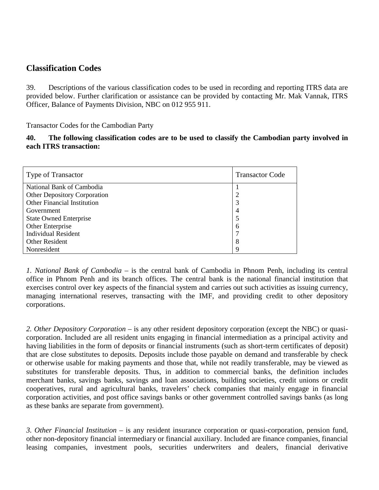### **Classification Codes**

39. Descriptions of the various classification codes to be used in recording and reporting ITRS data are provided below. Further clarification or assistance can be provided by contacting Mr. Mak Vannak, ITRS Officer, Balance of Payments Division, NBC on 012 955 911.

Transactor Codes for the Cambodian Party

**40. The following classification codes are to be used to classify the Cambodian party involved in each ITRS transaction:**

| Type of Transactor                  | <b>Transactor Code</b> |  |
|-------------------------------------|------------------------|--|
| National Bank of Cambodia           |                        |  |
| <b>Other Depository Corporation</b> | 2                      |  |
| <b>Other Financial Institution</b>  | 3                      |  |
| Government                          | 4                      |  |
| <b>State Owned Enterprise</b>       |                        |  |
| Other Enterprise                    | 6                      |  |
| <b>Individual Resident</b>          |                        |  |
| Other Resident                      | 8                      |  |
| Nonresident                         | q                      |  |

*1. National Bank of Cambodia* – is the central bank of Cambodia in Phnom Penh, including its central office in Phnom Penh and its branch offices. The central bank is the national financial institution that exercises control over key aspects of the financial system and carries out such activities as issuing currency, managing international reserves, transacting with the IMF, and providing credit to other depository corporations.

*2. Other Depository Corporation* – is any other resident depository corporation (except the NBC) or quasicorporation. Included are all resident units engaging in financial intermediation as a principal activity and having liabilities in the form of deposits or financial instruments (such as short-term certificates of deposit) that are close substitutes to deposits. Deposits include those payable on demand and transferable by check or otherwise usable for making payments and those that, while not readily transferable, may be viewed as substitutes for transferable deposits. Thus, in addition to commercial banks, the definition includes merchant banks, savings banks, savings and loan associations, building societies, credit unions or credit cooperatives, rural and agricultural banks, travelers' check companies that mainly engage in financial corporation activities, and post office savings banks or other government controlled savings banks (as long as these banks are separate from government).

*3. Other Financial Institution* – is any resident insurance corporation or quasi-corporation, pension fund, other non-depository financial intermediary or financial auxiliary. Included are finance companies, financial leasing companies, investment pools, securities underwriters and dealers, financial derivative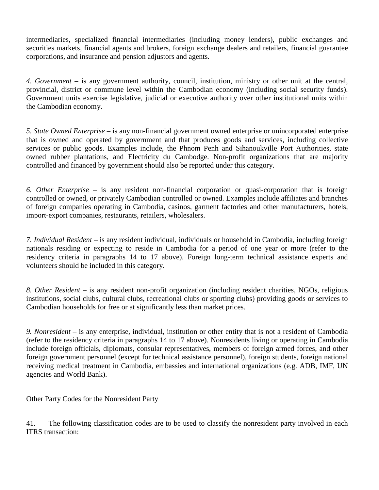intermediaries, specialized financial intermediaries (including money lenders), public exchanges and securities markets, financial agents and brokers, foreign exchange dealers and retailers, financial guarantee corporations, and insurance and pension adjustors and agents.

*4. Government* – is any government authority, council, institution, ministry or other unit at the central, provincial, district or commune level within the Cambodian economy (including social security funds). Government units exercise legislative, judicial or executive authority over other institutional units within the Cambodian economy.

*5. State Owned Enterprise* – is any non-financial government owned enterprise or unincorporated enterprise that is owned and operated by government and that produces goods and services, including collective services or public goods. Examples include, the Phnom Penh and Sihanoukville Port Authorities, state owned rubber plantations, and Electricity du Cambodge. Non-profit organizations that are majority controlled and financed by government should also be reported under this category.

*6. Other Enterprise* – is any resident non-financial corporation or quasi-corporation that is foreign controlled or owned, or privately Cambodian controlled or owned. Examples include affiliates and branches of foreign companies operating in Cambodia, casinos, garment factories and other manufacturers, hotels, import-export companies, restaurants, retailers, wholesalers.

*7. Individual Resident* – is any resident individual, individuals or household in Cambodia, including foreign nationals residing or expecting to reside in Cambodia for a period of one year or more (refer to the residency criteria in paragraphs 14 to 17 above). Foreign long-term technical assistance experts and volunteers should be included in this category.

*8. Other Resident* – is any resident non-profit organization (including resident charities, NGOs, religious institutions, social clubs, cultural clubs, recreational clubs or sporting clubs) providing goods or services to Cambodian households for free or at significantly less than market prices.

*9. Nonresident* – is any enterprise, individual, institution or other entity that is not a resident of Cambodia (refer to the residency criteria in paragraphs 14 to 17 above). Nonresidents living or operating in Cambodia include foreign officials, diplomats, consular representatives, members of foreign armed forces, and other foreign government personnel (except for technical assistance personnel), foreign students, foreign national receiving medical treatment in Cambodia, embassies and international organizations (e.g. ADB, IMF, UN agencies and World Bank).

Other Party Codes for the Nonresident Party

41. The following classification codes are to be used to classify the nonresident party involved in each ITRS transaction: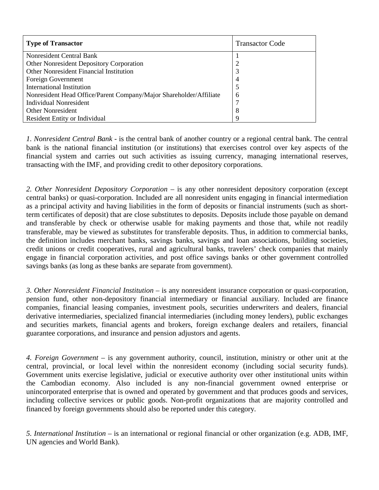| <b>Type of Transactor</b>                                          | <b>Transactor Code</b> |
|--------------------------------------------------------------------|------------------------|
| Nonresident Central Bank                                           |                        |
| Other Nonresident Depository Corporation                           | $\overline{2}$         |
| Other Nonresident Financial Institution                            | 3                      |
| Foreign Government                                                 | 4                      |
| <b>International Institution</b>                                   | 5                      |
| Nonresident Head Office/Parent Company/Major Shareholder/Affiliate | 6                      |
| <b>Individual Nonresident</b>                                      |                        |
| <b>Other Nonresident</b>                                           | 8                      |
| Resident Entity or Individual                                      | q                      |

*1. Nonresident Central Bank* - is the central bank of another country or a regional central bank. The central bank is the national financial institution (or institutions) that exercises control over key aspects of the financial system and carries out such activities as issuing currency, managing international reserves, transacting with the IMF, and providing credit to other depository corporations.

*2. Other Nonresident Depository Corporation* – is any other nonresident depository corporation (except central banks) or quasi-corporation. Included are all nonresident units engaging in financial intermediation as a principal activity and having liabilities in the form of deposits or financial instruments (such as shortterm certificates of deposit) that are close substitutes to deposits. Deposits include those payable on demand and transferable by check or otherwise usable for making payments and those that, while not readily transferable, may be viewed as substitutes for transferable deposits. Thus, in addition to commercial banks, the definition includes merchant banks, savings banks, savings and loan associations, building societies, credit unions or credit cooperatives, rural and agricultural banks, travelers' check companies that mainly engage in financial corporation activities, and post office savings banks or other government controlled savings banks (as long as these banks are separate from government).

*3. Other Nonresident Financial Institution* – is any nonresident insurance corporation or quasi-corporation, pension fund, other non-depository financial intermediary or financial auxiliary. Included are finance companies, financial leasing companies, investment pools, securities underwriters and dealers, financial derivative intermediaries, specialized financial intermediaries (including money lenders), public exchanges and securities markets, financial agents and brokers, foreign exchange dealers and retailers, financial guarantee corporations, and insurance and pension adjustors and agents.

*4. Foreign Government* – is any government authority, council, institution, ministry or other unit at the central, provincial, or local level within the nonresident economy (including social security funds). Government units exercise legislative, judicial or executive authority over other institutional units within the Cambodian economy. Also included is any non-financial government owned enterprise or unincorporated enterprise that is owned and operated by government and that produces goods and services, including collective services or public goods. Non-profit organizations that are majority controlled and financed by foreign governments should also be reported under this category.

*5. International Institution* – is an international or regional financial or other organization (e.g. ADB, IMF, UN agencies and World Bank).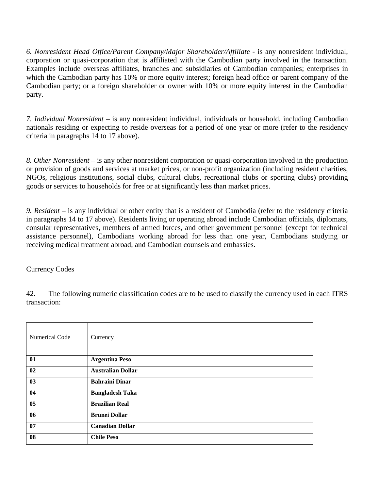*6. Nonresident Head Office/Parent Company/Major Shareholder/Affiliate* - is any nonresident individual, corporation or quasi-corporation that is affiliated with the Cambodian party involved in the transaction. Examples include overseas affiliates, branches and subsidiaries of Cambodian companies; enterprises in which the Cambodian party has 10% or more equity interest; foreign head office or parent company of the Cambodian party; or a foreign shareholder or owner with 10% or more equity interest in the Cambodian party.

*7. Individual Nonresident* – is any nonresident individual, individuals or household, including Cambodian nationals residing or expecting to reside overseas for a period of one year or more (refer to the residency criteria in paragraphs 14 to 17 above).

*8. Other Nonresident* – is any other nonresident corporation or quasi-corporation involved in the production or provision of goods and services at market prices, or non-profit organization (including resident charities, NGOs, religious institutions, social clubs, cultural clubs, recreational clubs or sporting clubs) providing goods or services to households for free or at significantly less than market prices.

*9. Resident* – is any individual or other entity that is a resident of Cambodia (refer to the residency criteria in paragraphs 14 to 17 above). Residents living or operating abroad include Cambodian officials, diplomats, consular representatives, members of armed forces, and other government personnel (except for technical assistance personnel), Cambodians working abroad for less than one year, Cambodians studying or receiving medical treatment abroad, and Cambodian counsels and embassies.

Currency Codes

42. The following numeric classification codes are to be used to classify the currency used in each ITRS transaction:

| Numerical Code | Currency                 |
|----------------|--------------------------|
| 01             | <b>Argentina Peso</b>    |
| 02             | <b>Australian Dollar</b> |
| 03             | <b>Bahraini Dinar</b>    |
| 04             | <b>Bangladesh Taka</b>   |
| 05             | <b>Brazilian Real</b>    |
| 06             | <b>Brunei Dollar</b>     |
| 07             | <b>Canadian Dollar</b>   |
| 08             | <b>Chile Peso</b>        |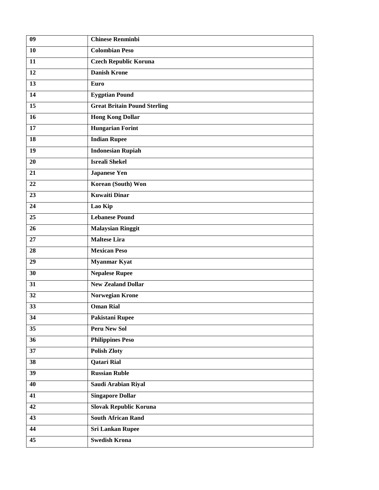| 09 | <b>Chinese Renminbi</b>             |
|----|-------------------------------------|
| 10 | <b>Colombian Peso</b>               |
| 11 | <b>Czech Republic Koruna</b>        |
| 12 | <b>Danish Krone</b>                 |
| 13 | Euro                                |
| 14 | <b>Eygptian Pound</b>               |
| 15 | <b>Great Britain Pound Sterling</b> |
| 16 | <b>Hong Kong Dollar</b>             |
| 17 | <b>Hungarian Forint</b>             |
| 18 | <b>Indian Rupee</b>                 |
| 19 | <b>Indonesian Rupiah</b>            |
| 20 | <b>Isreali Shekel</b>               |
| 21 | <b>Japanese Yen</b>                 |
| 22 | Korean (South) Won                  |
| 23 | <b>Kuwaiti Dinar</b>                |
| 24 | Lao Kip                             |
| 25 | <b>Lebanese Pound</b>               |
| 26 | <b>Malaysian Ringgit</b>            |
| 27 | <b>Maltese Lira</b>                 |
| 28 | <b>Mexican Peso</b>                 |
| 29 | <b>Myanmar Kyat</b>                 |
| 30 | <b>Nepalese Rupee</b>               |
| 31 | <b>New Zealand Dollar</b>           |
| 32 | <b>Norwegian Krone</b>              |
| 33 | <b>Oman Rial</b>                    |
| 34 | Pakistani Rupee                     |
| 35 | Peru New Sol                        |
| 36 | <b>Philippines Peso</b>             |
| 37 | <b>Polish Zloty</b>                 |
| 38 | <b>Qatari Rial</b>                  |
| 39 | <b>Russian Ruble</b>                |
| 40 | Saudi Arabian Riyal                 |
| 41 | <b>Singapore Dollar</b>             |
| 42 | <b>Slovak Republic Koruna</b>       |
| 43 | <b>South African Rand</b>           |
| 44 | <b>Sri Lankan Rupee</b>             |
| 45 | <b>Swedish Krona</b>                |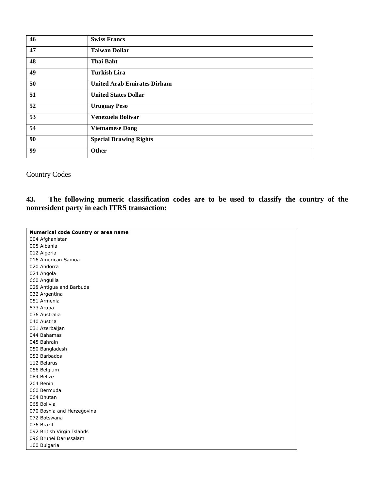| 46 | <b>Swiss Francs</b>                |
|----|------------------------------------|
|    |                                    |
| 47 | <b>Taiwan Dollar</b>               |
| 48 | <b>Thai Baht</b>                   |
| 49 | <b>Turkish Lira</b>                |
| 50 | <b>United Arab Emirates Dirham</b> |
| 51 | <b>United States Dollar</b>        |
| 52 | <b>Uruguay Peso</b>                |
| 53 | Venezuela Bolivar                  |
| 54 | <b>Vietnamese Dong</b>             |
| 90 | <b>Special Drawing Rights</b>      |
| 99 | Other                              |

Country Codes

**43. The following numeric classification codes are to be used to classify the country of the nonresident party in each ITRS transaction:** 

| Numerical code Country or area name |
|-------------------------------------|
|                                     |
| 004 Afghanistan                     |
| 008 Albania                         |
| 012 Algeria                         |
| 016 American Samoa                  |
| 020 Andorra                         |
| 024 Angola                          |
| 660 Anguilla                        |
| 028 Antigua and Barbuda             |
| 032 Argentina                       |
| 051 Armenia                         |
| 533 Aruba                           |
| 036 Australia                       |
| 040 Austria                         |
| 031 Azerbaijan                      |
| 044 Bahamas                         |
| 048 Bahrain                         |
| 050 Bangladesh                      |
| 052 Barbados                        |
| 112 Belarus                         |
| 056 Belgium                         |
| 084 Belize                          |
| 204 Benin                           |
| 060 Bermuda                         |
| 064 Bhutan                          |
| 068 Bolivia                         |
| 070 Bosnia and Herzegovina          |
| 072 Botswana                        |
| 076 Brazil                          |
| 092 British Virgin Islands          |
| 096 Brunei Darussalam               |
| 100 Bulgaria                        |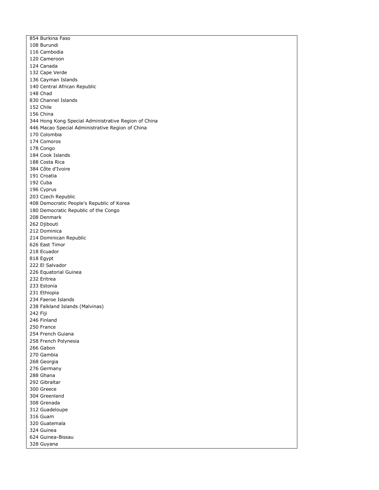854 Burkina Faso 108 Burundi 116 Cambodia 120 Cameroon 124 Canada 132 Cape Verde 136 Cayman Islands 140 Central African Republic 148 Chad 830 Channel Islands 152 Chile 156 China 344 Hong Kong Special Administrative Region of China 446 Macao Special Administrative Region of China 170 Colombia 174 Comoros 178 Congo 184 Cook Islands 188 Costa Rica 384 Côte d'Ivoire 191 Croatia 192 Cuba 196 Cyprus 203 Czech Republic 408 Democratic People's Republic of Korea 180 Democratic Republic of the Congo 208 Denmark 262 Djibouti 212 Dominica 214 Dominican Republic 626 East Timor 218 Ecuador 818 Egypt 222 El Salvador 226 Equatorial Guinea 232 Eritrea 233 Estonia 231 Ethiopia 234 Faeroe Islands 238 Falkland Islands (Malvinas) 242 Fiji 246 Finland 250 France 254 French Guiana 258 French Polynesia 266 Gabon 270 Gambia 268 Georgia 276 Germany 288 Ghana 292 Gibraltar 300 Greece 304 Greenland 308 Grenada 312 Guadeloupe 316 Guam 320 Guatemala 324 Guinea 624 Guinea-Bissau 328 Guyana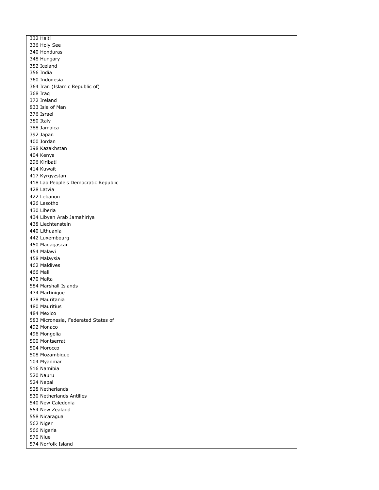332 Haiti 336 Holy See 340 Honduras 348 Hungary 352 Iceland 356 India 360 Indonesia 364 Iran (Islamic Republic of) 368 Iraq 372 Ireland 833 Isle of Man 376 Israel 380 Italy 388 Jamaica 392 Japan 400 Jordan 398 Kazakhstan 404 Kenya 296 Kiribati 414 Kuwait 417 Kyrgyzstan 418 Lao People's Democratic Republic 428 Latvia 422 Lebanon 426 Lesotho 430 Liberia 434 Libyan Arab Jamahiriya 438 Liechtenstein 440 Lithuania 442 Luxembourg 450 Madagascar 454 Malawi 458 Malaysia 462 Maldives 466 Mali 470 Malta 584 Marshall Islands 474 Martinique 478 Mauritania 480 Mauritius 484 Mexico 583 Micronesia, Federated States of 492 Monaco 496 Mongolia 500 Montserrat 504 Morocco 508 Mozambique 104 Myanmar 516 Namibia 520 Nauru 524 Nepal 528 Netherlands 530 Netherlands Antilles 540 New Caledonia 554 New Zealand 558 Nicaragua 562 Niger 566 Nigeria 570 Niue 574 Norfolk Island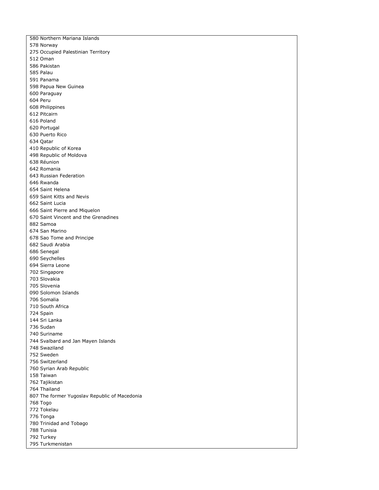580 Northern Mariana Islands 578 Norway 275 Occupied Palestinian Territory 512 Oman 586 Pakistan 585 Palau 591 Panama 598 Papua New Guinea 600 Paraguay 604 Peru 608 Philippines 612 Pitcairn 616 Poland 620 Portugal 630 Puerto Rico 634 Qatar 410 Republic of Korea 498 Republic of Moldova 638 Réunion 642 Romania 643 Russian Federation 646 Rwanda 654 Saint Helena 659 Saint Kitts and Nevis 662 Saint Lucia 666 Saint Pierre and Miquelon 670 Saint Vincent and the Grenadines 882 Samoa 674 San Marino 678 Sao Tome and Principe 682 Saudi Arabia 686 Senegal 690 Seychelles 694 Sierra Leone 702 Singapore 703 Slovakia 705 Slovenia 090 Solomon Islands 706 Somalia 710 South Africa 724 Spain 144 Sri Lanka 736 Sudan 740 Suriname 744 Svalbard and Jan Mayen Islands 748 Swaziland 752 Sweden 756 Switzerland 760 Syrian Arab Republic 158 Taiwan 762 Tajikistan 764 Thailand 807 The former Yugoslav Republic of Macedonia 768 Togo 772 Tokelau 776 Tonga 780 Trinidad and Tobago 788 Tunisia 792 Turkey 795 Turkmenistan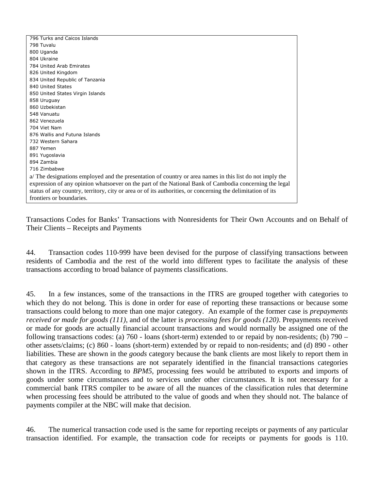| 796 Turks and Caicos Islands                                                                                |
|-------------------------------------------------------------------------------------------------------------|
| 798 Tuvalu                                                                                                  |
| 800 Uganda                                                                                                  |
| 804 Ukraine                                                                                                 |
| 784 United Arab Emirates                                                                                    |
| 826 United Kingdom                                                                                          |
| 834 United Republic of Tanzania                                                                             |
| 840 United States                                                                                           |
| 850 United States Virgin Islands                                                                            |
| 858 Uruguay                                                                                                 |
| 860 Uzbekistan                                                                                              |
| 548 Vanuatu                                                                                                 |
| 862 Venezuela                                                                                               |
| 704 Viet Nam                                                                                                |
| 876 Wallis and Futuna Islands                                                                               |
| 732 Western Sahara                                                                                          |
| 887 Yemen                                                                                                   |
| 891 Yugoslavia                                                                                              |
| 894 Zambia                                                                                                  |
| 716 Zimbabwe                                                                                                |
| a/ The designations employed and the presentation of country or area names in this list do not imply the    |
| expression of any opinion whatsoever on the part of the National Bank of Cambodia concerning the legal      |
| status of any country, territory, city or area or of its authorities, or concerning the delimitation of its |
| frontiers or boundaries.                                                                                    |

Transactions Codes for Banks' Transactions with Nonresidents for Their Own Accounts and on Behalf of Their Clients – Receipts and Payments

44. Transaction codes 110-999 have been devised for the purpose of classifying transactions between residents of Cambodia and the rest of the world into different types to facilitate the analysis of these transactions according to broad balance of payments classifications.

45. In a few instances, some of the transactions in the ITRS are grouped together with categories to which they do not belong. This is done in order for ease of reporting these transactions or because some transactions could belong to more than one major category. An example of the former case is *prepayments received or made for goods (111)*, and of the latter is *processing fees for goods (120)*. Prepayments received or made for goods are actually financial account transactions and would normally be assigned one of the following transactions codes: (a) 760 - loans (short-term) extended to or repaid by non-residents; (b) 790 – other assets/claims; (c) 860 - loans (short-term) extended by or repaid to non-residents; and (d) 890 - other liabilities. These are shown in the *goods* category because the bank clients are most likely to report them in that category as these transactions are not separately identified in the financial transactions categories shown in the ITRS. According to *BPM5,* processing fees would be attributed to exports and imports of goods under some circumstances and to services under other circumstances. It is not necessary for a commercial bank ITRS compiler to be aware of all the nuances of the classification rules that determine when processing fees should be attributed to the value of goods and when they should not. The balance of payments compiler at the NBC will make that decision.

46. The numerical transaction code used is the same for reporting receipts or payments of any particular transaction identified. For example, the transaction code for receipts or payments for goods is 110.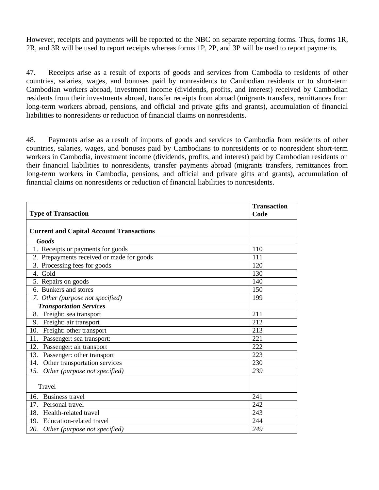However, receipts and payments will be reported to the NBC on separate reporting forms. Thus, forms 1R, 2R, and 3R will be used to report receipts whereas forms 1P, 2P, and 3P will be used to report payments.

47. Receipts arise as a result of exports of goods and services from Cambodia to residents of other countries, salaries, wages, and bonuses paid by nonresidents to Cambodian residents or to short-term Cambodian workers abroad, investment income (dividends, profits, and interest) received by Cambodian residents from their investments abroad, transfer receipts from abroad (migrants transfers, remittances from long-term workers abroad, pensions, and official and private gifts and grants), accumulation of financial liabilities to nonresidents or reduction of financial claims on nonresidents.

48. Payments arise as a result of imports of goods and services to Cambodia from residents of other countries, salaries, wages, and bonuses paid by Cambodians to nonresidents or to nonresident short-term workers in Cambodia, investment income (dividends, profits, and interest) paid by Cambodian residents on their financial liabilities to nonresidents, transfer payments abroad (migrants transfers, remittances from long-term workers in Cambodia, pensions, and official and private gifts and grants), accumulation of financial claims on nonresidents or reduction of financial liabilities to nonresidents.

|                                                 | <b>Transaction</b> |
|-------------------------------------------------|--------------------|
| <b>Type of Transaction</b>                      | Code               |
| <b>Current and Capital Account Transactions</b> |                    |
| <b>Goods</b>                                    |                    |
|                                                 | 110                |
| 1. Receipts or payments for goods               | 111                |
| 2. Prepayments received or made for goods       |                    |
| 3. Processing fees for goods                    | 120                |
| 4. Gold                                         | 130                |
| 5. Repairs on goods                             | 140                |
| 6. Bunkers and stores                           | 150                |
| 7. Other (purpose not specified)                | 199                |
| <b>Transportation Services</b>                  |                    |
| Freight: sea transport<br>8.                    | 211                |
| 9. Freight: air transport                       | 212                |
| Freight: other transport<br>10.                 | 213                |
| Passenger: sea transport:<br>11.                | 221                |
| Passenger: air transport<br>12.                 | 222                |
| Passenger: other transport<br>13.               | 223                |
| Other transportation services<br>14.            | 230                |
| 15.<br>Other (purpose not specified)            | 239                |
| Travel                                          |                    |
|                                                 |                    |
| 16. Business travel                             | 241                |
| Personal travel<br>17.                          | 242                |
| 18.<br>Health-related travel                    | 243                |
| 19.<br>Education-related travel                 | 244                |
| 20. Other (purpose not specified)               | 249                |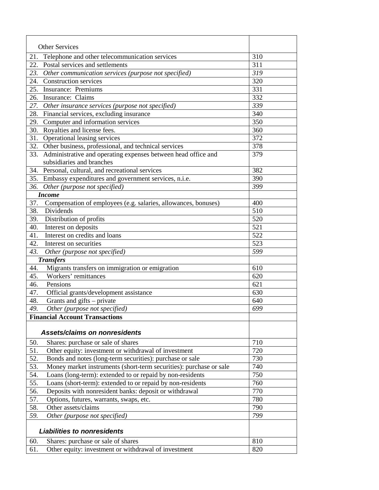|     | <b>Other Services</b>                                              |     |
|-----|--------------------------------------------------------------------|-----|
| 21. | Telephone and other telecommunication services                     | 310 |
| 22. | Postal services and settlements                                    | 311 |
| 23. | Other communication services (purpose not specified)               | 319 |
| 24. | <b>Construction services</b>                                       | 320 |
| 25. | <b>Insurance:</b> Premiums                                         | 331 |
| 26. | Insurance: Claims                                                  | 332 |
| 27. | Other insurance services (purpose not specified)                   | 339 |
| 28. | Financial services, excluding insurance                            | 340 |
| 29. | Computer and information services                                  | 350 |
| 30. | Royalties and license fees.                                        | 360 |
| 31. | Operational leasing services                                       | 372 |
| 32. | Other business, professional, and technical services               | 378 |
| 33. | Administrative and operating expenses between head office and      | 379 |
|     | subsidiaries and branches                                          |     |
|     | 34. Personal, cultural, and recreational services                  | 382 |
|     | 35. Embassy expenditures and government services, n.i.e.           | 390 |
| 36. | Other (purpose not specified)                                      | 399 |
|     | <b>Income</b>                                                      |     |
| 37. | Compensation of employees (e.g. salaries, allowances, bonuses)     | 400 |
| 38. | Dividends                                                          | 510 |
| 39. | Distribution of profits                                            | 520 |
| 40. | Interest on deposits                                               | 521 |
| 41. | Interest on credits and loans                                      | 522 |
| 42. | Interest on securities                                             | 523 |
| 43. | Other (purpose not specified)                                      | 599 |
|     | <b>Transfers</b>                                                   |     |
| 44. | Migrants transfers on immigration or emigration                    | 610 |
| 45. | Workers' remittances                                               | 620 |
| 46. | Pensions                                                           | 621 |
| 47. | Official grants/development assistance                             | 630 |
| 48. | Grants and gifts – private                                         | 640 |
| 49. | Other (purpose not specified)                                      | 699 |
|     | <b>Financial Account Transactions</b>                              |     |
|     |                                                                    |     |
|     | Assets/claims on nonresidents                                      |     |
| 50. | Shares: purchase or sale of shares                                 | 710 |
| 51. | Other equity: investment or withdrawal of investment               | 720 |
| 52. | Bonds and notes (long-term securities): purchase or sale           | 730 |
| 53. | Money market instruments (short-term securities): purchase or sale | 740 |
| 54. | Loans (long-term): extended to or repaid by non-residents          | 750 |
| 55. | Loans (short-term): extended to or repaid by non-residents         | 760 |
| 56. | Deposits with nonresident banks: deposit or withdrawal             | 770 |
| 57. | Options, futures, warrants, swaps, etc.                            | 780 |
| 58. | Other assets/claims                                                | 790 |
| 59. | Other (purpose not specified)                                      | 799 |
|     |                                                                    |     |
|     | <b>Liabilities to nonresidents</b>                                 |     |
| 60. | Shares: purchase or sale of shares                                 | 810 |
| 61. | Other equity: investment or withdrawal of investment               | 820 |
|     |                                                                    |     |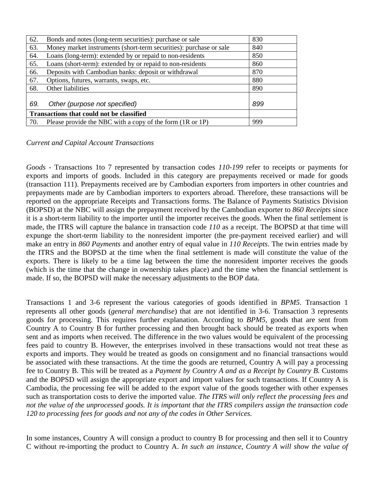| 62.                                       | Bonds and notes (long-term securities): purchase or sale           | 830 |
|-------------------------------------------|--------------------------------------------------------------------|-----|
| 63.                                       | Money market instruments (short-term securities): purchase or sale | 840 |
| 64.                                       | Loans (long-term): extended by or repaid to non-residents          | 850 |
| 65.                                       | Loans (short-term): extended by or repaid to non-residents         | 860 |
| 66.                                       | Deposits with Cambodian banks: deposit or withdrawal               | 870 |
| 67.                                       | Options, futures, warrants, swaps, etc.                            | 880 |
| 68.                                       | Other liabilities                                                  | 890 |
|                                           |                                                                    |     |
| 69.                                       | Other (purpose not specified)                                      | 899 |
| Transactions that could not be classified |                                                                    |     |
| 70.                                       | Please provide the NBC with a copy of the form (1R or 1P)          | 999 |

### *Current and Capital Account Transactions*

*Goods -* Transactions 1to 7 represented by transaction codes *110-199* refer to receipts or payments for exports and imports of goods. Included in this category are prepayments received or made for goods (transaction 111). Prepayments received are by Cambodian exporters from importers in other countries and prepayments made are by Cambodian importers to exporters abroad. Therefore, these transactions will be reported on the appropriate Receipts and Transactions forms. The Balance of Payments Statistics Division (BOPSD) at the NBC will assign the prepayment received by the Cambodian exporter to *860 Receipts* since it is a short-term liability to the importer until the importer receives the goods. When the final settlement is made, the ITRS will capture the balance in transaction code *110* as a receipt. The BOPSD at that time will expunge the short-term liability to the nonresident importer (the pre-payment received earlier) and will make an entry in *860 Payments* and another entry of equal value in *110 Receipts*. The twin entries made by the ITRS and the BOPSD at the time when the final settlement is made will constitute the value of the exports. There is likely to be a time lag between the time the nonresident importer receives the goods (which is the time that the change in ownership takes place) and the time when the financial settlement is made. If so, the BOPSD will make the necessary adjustments to the BOP data.

Transactions 1 and 3-6 represent the various categories of goods identified in *BPM5.* Transaction 1 represents all other goods (*general merchandise*) that are not identified in 3-6. Transaction 3 represents goods for processing. This requires further explanation. According to *BPM5,* goods that are sent from Country A to Country B for further processing and then brought back should be treated as exports when sent and as imports when received. The difference in the two values would be equivalent of the processing fees paid to country B. However, the enterprises involved in these transactions would not treat these as exports and imports. They would be treated as goods on consignment and no financial transactions would be associated with these transactions. At the time the goods are returned, Country A will pay a processing fee to Country B. This will be treated as a *Payment by Country A and as a Receipt by Country B.* Customs and the BOPSD will assign the appropriate export and import values for such transactions. If Country A is Cambodia, the processing fee will be added to the export value of the goods together with other expenses such as transportation costs to derive the imported value. *The ITRS will only reflect the processing fees and not the value of the unprocessed goods. It is important that the ITRS compilers assign the transaction code 120 to processing fees for goods and not any of the codes in Other Services.* 

In some instances, Country A will consign a product to country B for processing and then sell it to Country C without re-importing the product to Country A. *In such an instance, Country A will show the value of*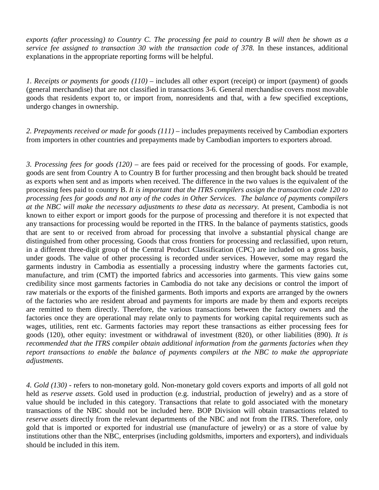*exports (after processing) to Country C. The processing fee paid to country B will then be shown as a service fee assigned to transaction 30 with the transaction code of 378.* In these instances, additional explanations in the appropriate reporting forms will be helpful.

*1. Receipts or payments for goods (110)* – includes all other export (receipt) or import (payment) of goods (general merchandise) that are not classified in transactions 3-6. General merchandise covers most movable goods that residents export to, or import from, nonresidents and that, with a few specified exceptions, undergo changes in ownership.

2. Prepayments received or made for goods (111) – includes prepayments received by Cambodian exporters from importers in other countries and prepayments made by Cambodian importers to exporters abroad.

*3. Processing fees for goods (120)* – are fees paid or received for the processing of goods. For example, goods are sent from Country A to Country B for further processing and then brought back should be treated as exports when sent and as imports when received. The difference in the two values is the equivalent of the processing fees paid to country B. *It is important that the ITRS compilers assign the transaction code 120 to processing fees for goods and not any of the codes in Other Services. The balance of payments compilers at the NBC will make the necessary adjustments to these data as necessary.* At present, Cambodia is not known to either export or import goods for the purpose of processing and therefore it is not expected that any transactions for processing would be reported in the ITRS. In the balance of payments statistics, goods that are sent to or received from abroad for processing that involve a substantial physical change are distinguished from other processing. Goods that cross frontiers for processing and reclassified, upon return, in a different three-digit group of the Central Product Classification (CPC) are included on a gross basis, under goods. The value of other processing is recorded under services. However, some may regard the garments industry in Cambodia as essentially a processing industry where the garments factories cut, manufacture, and trim (CMT) the imported fabrics and accessories into garments. This view gains some credibility since most garments factories in Cambodia do not take any decisions or control the import of raw materials or the exports of the finished garments. Both imports and exports are arranged by the owners of the factories who are resident abroad and payments for imports are made by them and exports receipts are remitted to them directly. Therefore, the various transactions between the factory owners and the factories once they are operational may relate only to payments for working capital requirements such as wages, utilities, rent etc. Garments factories may report these transactions as either processing fees for goods (120), other equity: investment or withdrawal of investment (820), or other liabilities (890). *It is recommended that the ITRS compiler obtain additional information from the garments factories when they report transactions to enable the balance of payments compilers at the NBC to make the appropriate adjustments.* 

*4. Gold (130)* - refers to non-monetary gold. Non-monetary gold covers exports and imports of all gold not held as *reserve assets*. Gold used in production (e.g. industrial, production of jewelry) and as a store of value should be included in this category. Transactions that relate to gold associated with the monetary transactions of the NBC should not be included here. BOP Division will obtain transactions related to *reserve assets* directly from the relevant departments of the NBC and not from the ITRS*.* Therefore, only gold that is imported or exported for industrial use (manufacture of jewelry) or as a store of value by institutions other than the NBC, enterprises (including goldsmiths, importers and exporters), and individuals should be included in this item.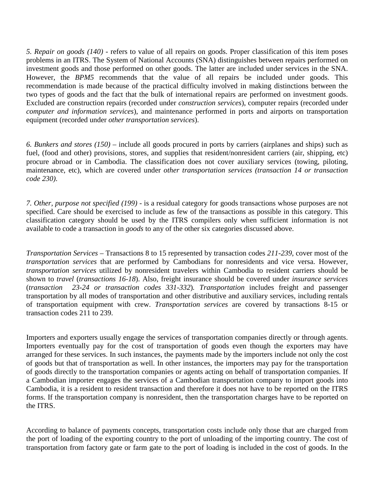*5. Repair on goods (140)* - refers to value of all repairs on goods. Proper classification of this item poses problems in an ITRS. The System of National Accounts (SNA) distinguishes between repairs performed on investment goods and those performed on other goods. The latter are included under services in the SNA. However, the *BPM5* recommends that the value of all repairs be included under goods. This recommendation is made because of the practical difficulty involved in making distinctions between the two types of goods and the fact that the bulk of international repairs are performed on investment goods. Excluded are construction repairs (recorded under *construction services*), computer repairs (recorded under *computer and information services*), and maintenance performed in ports and airports on transportation equipment (recorded under *other transportation services*).

*6. Bunkers and stores (150)* – include all goods procured in ports by carriers (airplanes and ships) such as fuel, (food and other) provisions, stores, and supplies that resident/nonresident carriers (air, shipping, etc) procure abroad or in Cambodia. The classification does not cover auxiliary services (towing, piloting, maintenance, etc), which are covered under *other transportation services (transaction 14 or transaction code 230)*.

*7. Other, purpose not specified (199)* - is a residual category for goods transactions whose purposes are not specified. Care should be exercised to include as few of the transactions as possible in this category. This classification category should be used by the ITRS compilers only when sufficient information is not available to code a transaction in *goods* to any of the other six categories discussed above.

*Transportation Services –* Transactions 8 to 15 represented by transaction codes *211-239*, cover most of the *transportation services* that are performed by Cambodians for nonresidents and vice versa. However, *transportation services* utilized by nonresident travelers within Cambodia to resident carriers should be shown to *travel* (*transactions 16-18*). Also, freight insurance should be covered under *insurance services*  (*transaction 23-24 or transaction codes 331-332*)*. Transportation* includes freight and passenger transportation by all modes of transportation and other distributive and auxiliary services, including rentals of transportation equipment with crew. *Transportation services* are covered by transactions 8-15 or transaction codes 211 to 239.

Importers and exporters usually engage the services of transportation companies directly or through agents. Importers eventually pay for the cost of transportation of goods even though the exporters may have arranged for these services. In such instances, the payments made by the importers include not only the cost of goods but that of transportation as well. In other instances, the importers may pay for the transportation of goods directly to the transportation companies or agents acting on behalf of transportation companies. If a Cambodian importer engages the services of a Cambodian transportation company to import goods into Cambodia, it is a resident to resident transaction and therefore it does not have to be reported on the ITRS forms. If the transportation company is nonresident, then the transportation charges have to be reported on the ITRS.

According to balance of payments concepts, transportation costs include only those that are charged from the port of loading of the exporting country to the port of unloading of the importing country. The cost of transportation from factory gate or farm gate to the port of loading is included in the cost of goods. In the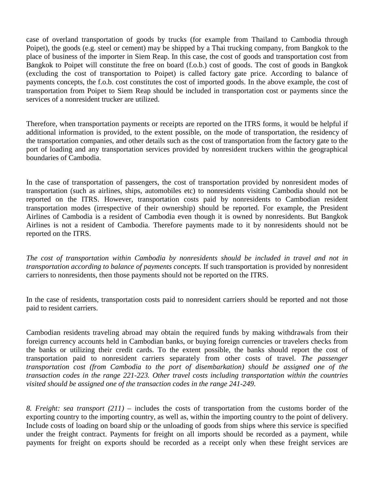case of overland transportation of goods by trucks (for example from Thailand to Cambodia through Poipet), the goods (e.g. steel or cement) may be shipped by a Thai trucking company, from Bangkok to the place of business of the importer in Siem Reap. In this case, the cost of goods and transportation cost from Bangkok to Poipet will constitute the free on board (f.o.b.) cost of goods. The cost of goods in Bangkok (excluding the cost of transportation to Poipet) is called factory gate price. According to balance of payments concepts, the f.o.b. cost constitutes the cost of imported goods. In the above example, the cost of transportation from Poipet to Siem Reap should be included in transportation cost or payments since the services of a nonresident trucker are utilized.

Therefore, when transportation payments or receipts are reported on the ITRS forms, it would be helpful if additional information is provided, to the extent possible, on the mode of transportation, the residency of the transportation companies, and other details such as the cost of transportation from the factory gate to the port of loading and any transportation services provided by nonresident truckers within the geographical boundaries of Cambodia.

In the case of transportation of passengers, the cost of transportation provided by nonresident modes of transportation (such as airlines, ships, automobiles etc) to nonresidents visiting Cambodia should not be reported on the ITRS. However, transportation costs paid by nonresidents to Cambodian resident transportation modes (irrespective of their ownership) should be reported. For example, the President Airlines of Cambodia is a resident of Cambodia even though it is owned by nonresidents. But Bangkok Airlines is not a resident of Cambodia. Therefore payments made to it by nonresidents should not be reported on the ITRS.

*The cost of transportation within Cambodia by nonresidents should be included in travel and not in transportation according to balance of payments concepts.* If such transportation is provided by nonresident carriers to nonresidents, then those payments should not be reported on the ITRS.

In the case of residents, transportation costs paid to nonresident carriers should be reported and not those paid to resident carriers.

Cambodian residents traveling abroad may obtain the required funds by making withdrawals from their foreign currency accounts held in Cambodian banks, or buying foreign currencies or travelers checks from the banks or utilizing their credit cards. To the extent possible, the banks should report the cost of transportation paid to nonresident carriers separately from other costs of travel. *The passenger transportation cost (from Cambodia to the port of disembarkation) should be assigned one of the transaction codes in the range 221-223. Other travel costs including transportation within the countries visited should be assigned one of the transaction codes in the range 241-249.* 

*8. Freight: sea transport (211)* – includes the costs of transportation from the customs border of the exporting country to the importing country, as well as, within the importing country to the point of delivery. Include costs of loading on board ship or the unloading of goods from ships where this service is specified under the freight contract. Payments for freight on all imports should be recorded as a payment, while payments for freight on exports should be recorded as a receipt only when these freight services are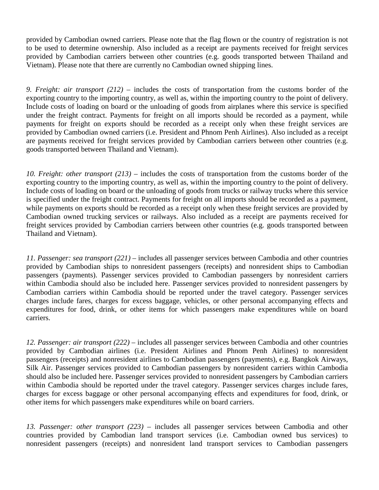provided by Cambodian owned carriers. Please note that the flag flown or the country of registration is not to be used to determine ownership. Also included as a receipt are payments received for freight services provided by Cambodian carriers between other countries (e.g. goods transported between Thailand and Vietnam). Please note that there are currently no Cambodian owned shipping lines.

*9. Freight: air transport (212) –* includes the costs of transportation from the customs border of the exporting country to the importing country, as well as, within the importing country to the point of delivery. Include costs of loading on board or the unloading of goods from airplanes where this service is specified under the freight contract. Payments for freight on all imports should be recorded as a payment, while payments for freight on exports should be recorded as a receipt only when these freight services are provided by Cambodian owned carriers (i.e. President and Phnom Penh Airlines). Also included as a receipt are payments received for freight services provided by Cambodian carriers between other countries (e.g. goods transported between Thailand and Vietnam).

*10. Freight: other transport (213) –* includes the costs of transportation from the customs border of the exporting country to the importing country, as well as, within the importing country to the point of delivery. Include costs of loading on board or the unloading of goods from trucks or railway trucks where this service is specified under the freight contract. Payments for freight on all imports should be recorded as a payment, while payments on exports should be recorded as a receipt only when these freight services are provided by Cambodian owned trucking services or railways. Also included as a receipt are payments received for freight services provided by Cambodian carriers between other countries (e.g. goods transported between Thailand and Vietnam).

*11. Passenger: sea transport (221) –* includes all passenger services between Cambodia and other countries provided by Cambodian ships to nonresident passengers (receipts) and nonresident ships to Cambodian passengers (payments). Passenger services provided to Cambodian passengers by nonresident carriers within Cambodia should also be included here. Passenger services provided to nonresident passengers by Cambodian carriers within Cambodia should be reported under the travel category. Passenger services charges include fares, charges for excess baggage, vehicles, or other personal accompanying effects and expenditures for food, drink, or other items for which passengers make expenditures while on board carriers.

*12. Passenger: air transport (222) –* includes all passenger services between Cambodia and other countries provided by Cambodian airlines (i.e. President Airlines and Phnom Penh Airlines) to nonresident passengers (receipts) and nonresident airlines to Cambodian passengers (payments), e.g. Bangkok Airways, Silk Air. Passenger services provided to Cambodian passengers by nonresident carriers within Cambodia should also be included here. Passenger services provided to nonresident passengers by Cambodian carriers within Cambodia should be reported under the travel category. Passenger services charges include fares, charges for excess baggage or other personal accompanying effects and expenditures for food, drink, or other items for which passengers make expenditures while on board carriers.

*13. Passenger: other transport (223) –* includes all passenger services between Cambodia and other countries provided by Cambodian land transport services (i.e. Cambodian owned bus services) to nonresident passengers (receipts) and nonresident land transport services to Cambodian passengers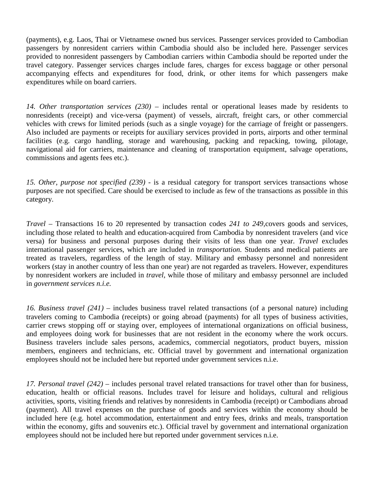(payments), e.g. Laos, Thai or Vietnamese owned bus services. Passenger services provided to Cambodian passengers by nonresident carriers within Cambodia should also be included here. Passenger services provided to nonresident passengers by Cambodian carriers within Cambodia should be reported under the travel category. Passenger services charges include fares, charges for excess baggage or other personal accompanying effects and expenditures for food, drink, or other items for which passengers make expenditures while on board carriers.

*14. Other transportation services (230) –* includes rental or operational leases made by residents to nonresidents (receipt) and vice-versa (payment) of vessels, aircraft, freight cars, or other commercial vehicles with crews for limited periods (such as a single voyage) for the carriage of freight or passengers. Also included are payments or receipts for auxiliary services provided in ports, airports and other terminal facilities (e.g. cargo handling, storage and warehousing, packing and repacking, towing, pilotage, navigational aid for carriers, maintenance and cleaning of transportation equipment, salvage operations, commissions and agents fees etc.).

*15. Other, purpose not specified (239) -* is a residual category for transport services transactions whose purposes are not specified. Care should be exercised to include as few of the transactions as possible in this category.

*Travel –* Transactions 16 to 20 represented by transaction codes *241 to 249,*covers goods and services, including those related to health and education-acquired from Cambodia by nonresident travelers (and vice versa) for business and personal purposes during their visits of less than one year. *Travel* excludes international passenger services, which are included in *transportation.* Students and medical patients are treated as travelers, regardless of the length of stay. Military and embassy personnel and nonresident workers (stay in another country of less than one year) are not regarded as travelers. However, expenditures by nonresident workers are included in *travel,* while those of military and embassy personnel are included in *government services n.i.e.* 

*16. Business travel (241) –* includes business travel related transactions (of a personal nature) including travelers coming to Cambodia (receipts) or going abroad (payments) for all types of business activities, carrier crews stopping off or staying over, employees of international organizations on official business, and employees doing work for businesses that are not resident in the economy where the work occurs. Business travelers include sales persons, academics, commercial negotiators, product buyers, mission members, engineers and technicians, etc. Official travel by government and international organization employees should not be included here but reported under government services n.i.e.

*17. Personal travel (242) –* includes personal travel related transactions for travel other than for business, education, health or official reasons. Includes travel for leisure and holidays, cultural and religious activities, sports, visiting friends and relatives by nonresidents in Cambodia (receipt) or Cambodians abroad (payment). All travel expenses on the purchase of goods and services within the economy should be included here (e.g. hotel accommodation, entertainment and entry fees, drinks and meals, transportation within the economy, gifts and souvenirs etc.). Official travel by government and international organization employees should not be included here but reported under government services n.i.e.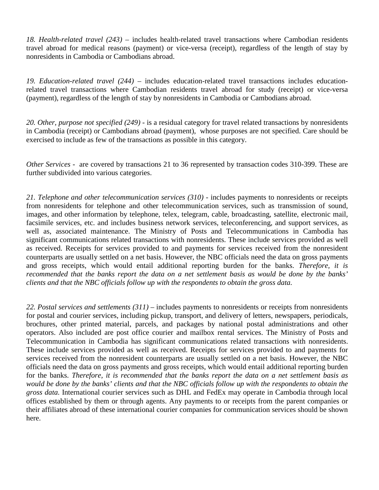*18. Health-related travel (243) –* includes health-related travel transactions where Cambodian residents travel abroad for medical reasons (payment) or vice-versa (receipt), regardless of the length of stay by nonresidents in Cambodia or Cambodians abroad.

*19. Education-related travel (244) –* includes education-related travel transactions includes educationrelated travel transactions where Cambodian residents travel abroad for study (receipt) or vice-versa (payment), regardless of the length of stay by nonresidents in Cambodia or Cambodians abroad.

*20. Other, purpose not specified (249) -* is a residual category for travel related transactions by nonresidents in Cambodia (receipt) or Cambodians abroad (payment), whose purposes are not specified. Care should be exercised to include as few of the transactions as possible in this category.

*Other Services -* are covered by transactions 21 to 36 represented by transaction codes 310-399. These are further subdivided into various categories.

21. Telephone and other telecommunication services (310) - includes payments to nonresidents or receipts from nonresidents for telephone and other telecommunication services, such as transmission of sound, images, and other information by telephone, telex, telegram, cable, broadcasting, satellite, electronic mail, facsimile services, etc. and includes business network services, teleconferencing, and support services, as well as, associated maintenance. The Ministry of Posts and Telecommunications in Cambodia has significant communications related transactions with nonresidents. These include services provided as well as received. Receipts for services provided to and payments for services received from the nonresident counterparts are usually settled on a net basis. However, the NBC officials need the data on gross payments and gross receipts, which would entail additional reporting burden for the banks. *Therefore, it is recommended that the banks report the data on a net settlement basis as would be done by the banks' clients and that the NBC officials follow up with the respondents to obtain the gross data.* 

*22. Postal services and settlements (311)* – includes payments to nonresidents or receipts from nonresidents for postal and courier services, including pickup, transport, and delivery of letters, newspapers, periodicals, brochures, other printed material, parcels, and packages by national postal administrations and other operators. Also included are post office courier and mailbox rental services. The Ministry of Posts and Telecommunication in Cambodia has significant communications related transactions with nonresidents. These include services provided as well as received. Receipts for services provided to and payments for services received from the nonresident counterparts are usually settled on a net basis. However, the NBC officials need the data on gross payments and gross receipts, which would entail additional reporting burden for the banks. *Therefore, it is recommended that the banks report the data on a net settlement basis as would be done by the banks' clients and that the NBC officials follow up with the respondents to obtain the gross data.* International courier services such as DHL and FedEx may operate in Cambodia through local offices established by them or through agents. Any payments to or receipts from the parent companies or their affiliates abroad of these international courier companies for communication services should be shown here.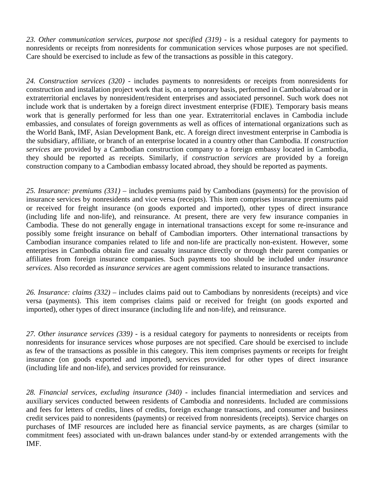*23. Other communication services, purpose not specified (319)* - is a residual category for payments to nonresidents or receipts from nonresidents for communication services whose purposes are not specified. Care should be exercised to include as few of the transactions as possible in this category.

*24. Construction services (320)* - includes payments to nonresidents or receipts from nonresidents for construction and installation project work that is, on a temporary basis, performed in Cambodia/abroad or in extraterritorial enclaves by nonresident/resident enterprises and associated personnel. Such work does not include work that is undertaken by a foreign direct investment enterprise (FDIE). Temporary basis means work that is generally performed for less than one year. Extraterritorial enclaves in Cambodia include embassies, and consulates of foreign governments as well as offices of international organizations such as the World Bank, IMF, Asian Development Bank, etc. A foreign direct investment enterprise in Cambodia is the subsidiary, affiliate, or branch of an enterprise located in a country other than Cambodia. If *construction services* are provided by a Cambodian construction company to a foreign embassy located in Cambodia, they should be reported as receipts. Similarly, if *construction services* are provided by a foreign construction company to a Cambodian embassy located abroad, they should be reported as payments.

*25. Insurance: premiums (331) –* includes premiums paid by Cambodians (payments) for the provision of insurance services by nonresidents and vice versa (receipts). This item comprises insurance premiums paid or received for freight insurance (on goods exported and imported), other types of direct insurance (including life and non-life), and reinsurance. At present, there are very few insurance companies in Cambodia. These do not generally engage in international transactions except for some re-insurance and possibly some freight insurance on behalf of Cambodian importers. Other international transactions by Cambodian insurance companies related to life and non-life are practically non-existent. However, some enterprises in Cambodia obtain fire and casualty insurance directly or through their parent companies or affiliates from foreign insurance companies. Such payments too should be included under *insurance services*. Also recorded as *insurance services* are agent commissions related to insurance transactions.

*26. Insurance: claims (332) –* includes claims paid out to Cambodians by nonresidents (receipts) and vice versa (payments). This item comprises claims paid or received for freight (on goods exported and imported), other types of direct insurance (including life and non-life), and reinsurance.

*27. Other insurance services (339) -* is a residual category for payments to nonresidents or receipts from nonresidents for insurance services whose purposes are not specified. Care should be exercised to include as few of the transactions as possible in this category. This item comprises payments or receipts for freight insurance (on goods exported and imported), services provided for other types of direct insurance (including life and non-life), and services provided for reinsurance.

*28. Financial services, excluding insurance (340) -* includes financial intermediation and services and auxiliary services conducted between residents of Cambodia and nonresidents. Included are commissions and fees for letters of credits, lines of credits, foreign exchange transactions, and consumer and business credit services paid to nonresidents (payments) or received from nonresidents (receipts). Service charges on purchases of IMF resources are included here as financial service payments, as are charges (similar to commitment fees) associated with un-drawn balances under stand-by or extended arrangements with the IMF.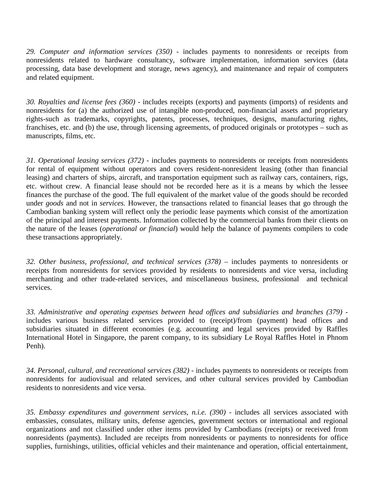*29. Computer and information services (350) -* includes payments to nonresidents or receipts from nonresidents related to hardware consultancy, software implementation, information services (data processing, data base development and storage, news agency), and maintenance and repair of computers and related equipment.

*30. Royalties and license fees (360) -* includes receipts (exports) and payments (imports) of residents and nonresidents for (a) the authorized use of intangible non-produced, non-financial assets and proprietary rights-such as trademarks, copyrights, patents, processes, techniques, designs, manufacturing rights, franchises, etc. and (b) the use, through licensing agreements, of produced originals or prototypes – such as manuscripts, films, etc.

*31. Operational leasing services (372) -* includes payments to nonresidents or receipts from nonresidents for rental of equipment without operators and covers resident-nonresident leasing (other than financial leasing) and charters of ships, aircraft, and transportation equipment such as railway cars, containers, rigs, etc. without crew. A financial lease should not be recorded here as it is a means by which the lessee finances the purchase of the good. The full equivalent of the market value of the goods should be recorded under *goods* and not in *services.* However, the transactions related to financial leases that go through the Cambodian banking system will reflect only the periodic lease payments which consist of the amortization of the principal and interest payments. Information collected by the commercial banks from their clients on the nature of the leases (*operational or financial*) would help the balance of payments compilers to code these transactions appropriately.

32. Other business, professional, and technical services (378) – includes payments to nonresidents or receipts from nonresidents for services provided by residents to nonresidents and vice versa, including merchanting and other trade-related services, and miscellaneous business, professional and technical services.

*33. Administrative and operating expenses between head offices and subsidiaries and branches (379)*  includes various business related services provided to (receipt)/from (payment) head offices and subsidiaries situated in different economies (e.g. accounting and legal services provided by Raffles International Hotel in Singapore, the parent company, to its subsidiary Le Royal Raffles Hotel in Phnom Penh).

*34. Personal, cultural, and recreational services (382)* - includes payments to nonresidents or receipts from nonresidents for audiovisual and related services, and other cultural services provided by Cambodian residents to nonresidents and vice versa.

*35. Embassy expenditures and government services, n.i.e. (390)* - includes all services associated with embassies, consulates, military units, defense agencies, government sectors or international and regional organizations and not classified under other items provided by Cambodians (receipts) or received from nonresidents (payments). Included are receipts from nonresidents or payments to nonresidents for office supplies, furnishings, utilities, official vehicles and their maintenance and operation, official entertainment,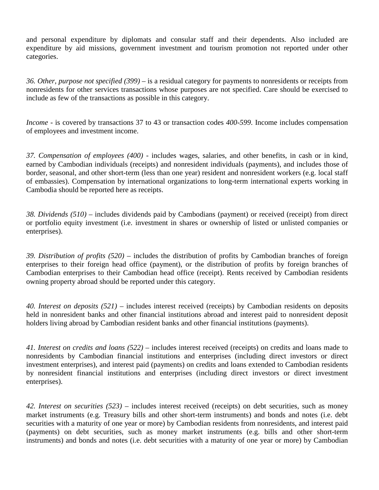and personal expenditure by diplomats and consular staff and their dependents. Also included are expenditure by aid missions, government investment and tourism promotion not reported under other categories.

*36. Other, purpose not specified (399)* – is a residual category for payments to nonresidents or receipts from nonresidents for other services transactions whose purposes are not specified. Care should be exercised to include as few of the transactions as possible in this category.

*Income* - is covered by transactions 37 to 43 or transaction codes *400-599*. Income includes compensation of employees and investment income.

*37. Compensation of employees (400) -* includes wages, salaries, and other benefits, in cash or in kind, earned by Cambodian individuals (receipts) and nonresident individuals (payments), and includes those of border, seasonal, and other short-term (less than one year) resident and nonresident workers (e.g. local staff of embassies). Compensation by international organizations to long-term international experts working in Cambodia should be reported here as receipts.

*38. Dividends (510)* – includes dividends paid by Cambodians (payment) or received (receipt) from direct or portfolio equity investment (i.e. investment in shares or ownership of listed or unlisted companies or enterprises).

*39. Distribution of profits (520)* – includes the distribution of profits by Cambodian branches of foreign enterprises to their foreign head office (payment), or the distribution of profits by foreign branches of Cambodian enterprises to their Cambodian head office (receipt). Rents received by Cambodian residents owning property abroad should be reported under this category.

*40. Interest on deposits (521) –* includes interest received (receipts) by Cambodian residents on deposits held in nonresident banks and other financial institutions abroad and interest paid to nonresident deposit holders living abroad by Cambodian resident banks and other financial institutions (payments).

*41. Interest on credits and loans (522) –* includes interest received (receipts) on credits and loans made to nonresidents by Cambodian financial institutions and enterprises (including direct investors or direct investment enterprises), and interest paid (payments) on credits and loans extended to Cambodian residents by nonresident financial institutions and enterprises (including direct investors or direct investment enterprises).

*42. Interest on securities (523)* – includes interest received (receipts) on debt securities, such as money market instruments (e.g. Treasury bills and other short-term instruments) and bonds and notes (i.e. debt securities with a maturity of one year or more) by Cambodian residents from nonresidents, and interest paid (payments) on debt securities, such as money market instruments (e.g. bills and other short-term instruments) and bonds and notes (i.e. debt securities with a maturity of one year or more) by Cambodian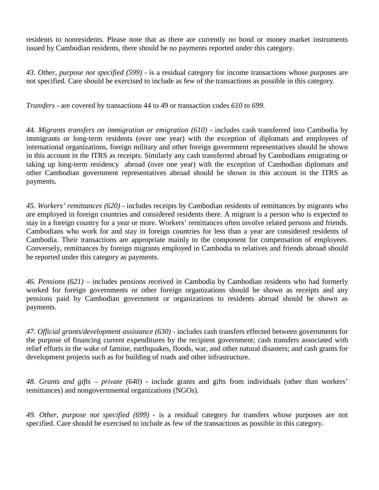residents to nonresidents. Please note that as there are currently no bond or money market instruments issued by Cambodian residents, there should be no payments reported under this category.

*43. Other, purpose not specified (599)* - is a residual category for income transactions whose purposes are not specified. Care should be exercised to include as few of the transactions as possible in this category.

*Transfers -* are covered by transactions 44 to 49 or transaction codes *610 to 699*.

*44. Migrants transfers on immigration or emigration (610) -* includes cash transferred into Cambodia by immigrants or long-term residents (over one year) with the exception of diplomats and employees of international organizations, foreign military and other foreign government representatives should be shown in this account in the ITRS as receipts. Similarly any cash transferred abroad by Cambodians emigrating or taking up long-term residency abroad (over one year) with the exception of Cambodian diplomats and other Cambodian government representatives abroad should be shown in this account in the ITRS as payments.

*45. Workers' remittances (620) -* includes receipts by Cambodian residents of remittances by migrants who are employed in foreign countries and considered residents there. A migrant is a person who is expected to stay in a foreign country for a year or more. Workers' remittances often involve related persons and friends. Cambodians who work for and stay in foreign countries for less than a year are considered residents of Cambodia. Their transactions are appropriate mainly to the component for compensation of employees. Conversely, remittances by foreign migrants employed in Cambodia to relatives and friends abroad should be reported under this category as payments.

*46. Pensions (621) –* includes pensions received in Cambodia by Cambodian residents who had formerly worked for foreign governments or other foreign organizations should be shown as receipts and any pensions paid by Cambodian government or organizations to residents abroad should be shown as payments.

*47. Official grants/development assistance (630) -* includes cash transfers effected between governments for the purpose of financing current expenditures by the recipient government; cash transfers associated with relief efforts in the wake of famine, earthquakes, floods, war, and other natural disasters; and cash grants for development projects such as for building of roads and other infrastructure.

*48. Grants and gifts – private (640) -* include grants and gifts from individuals (other than workers' remittances) and nongovernmental organizations (NGOs).

*49. Other, purpose not specified (699)* - is a residual category for transfers whose purposes are not specified. Care should be exercised to include as few of the transactions as possible in this category.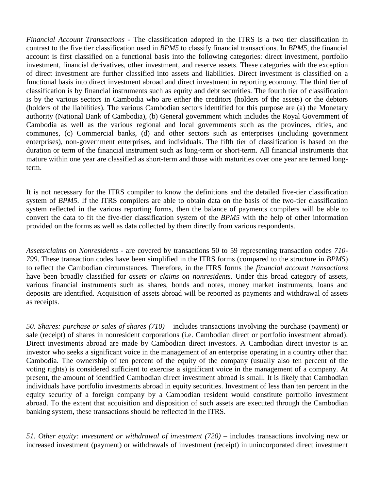*Financial Account Transactions -* The classification adopted in the ITRS is a two tier classification in contrast to the five tier classification used in *BPM5* to classify financial transactions. In *BPM5*, the financial account is first classified on a functional basis into the following categories: direct investment, portfolio investment, financial derivatives, other investment, and reserve assets. These categories with the exception of direct investment are further classified into assets and liabilities. Direct investment is classified on a functional basis into direct investment abroad and direct investment in reporting economy. The third tier of classification is by financial instruments such as equity and debt securities. The fourth tier of classification is by the various sectors in Cambodia who are either the creditors (holders of the assets) or the debtors (holders of the liabilities). The various Cambodian sectors identified for this purpose are (a) the Monetary authority (National Bank of Cambodia), (b) General government which includes the Royal Government of Cambodia as well as the various regional and local governments such as the provinces, cities, and communes, (c) Commercial banks, (d) and other sectors such as enterprises (including government enterprises), non-government enterprises, and individuals. The fifth tier of classification is based on the duration or term of the financial instrument such as long-term or short-term. All financial instruments that mature within one year are classified as short-term and those with maturities over one year are termed longterm.

It is not necessary for the ITRS compiler to know the definitions and the detailed five-tier classification system of *BPM5*. If the ITRS compilers are able to obtain data on the basis of the two-tier classification system reflected in the various reporting forms, then the balance of payments compilers will be able to convert the data to fit the five-tier classification system of the *BPM5* with the help of other information provided on the forms as well as data collected by them directly from various respondents.

*Assets/claims on Nonresidents -* are covered by transactions 50 to 59 representing transaction codes *710- 799*. These transaction codes have been simplified in the ITRS forms (compared to the structure in *BPM5*) to reflect the Cambodian circumstances. Therefore, in the ITRS forms the *financial account transactions* have been broadly classified for *assets or claims on nonresidents.* Under this broad category of assets, various financial instruments such as shares, bonds and notes, money market instruments, loans and deposits are identified. Acquisition of assets abroad will be reported as payments and withdrawal of assets as receipts.

*50. Shares: purchase or sales of shares (710)* – includes transactions involving the purchase (payment) or sale (receipt) of shares in nonresident corporations (i.e. Cambodian direct or portfolio investment abroad). Direct investments abroad are made by Cambodian direct investors. A Cambodian direct investor is an investor who seeks a significant voice in the management of an enterprise operating in a country other than Cambodia. The ownership of ten percent of the equity of the company (usually also ten percent of the voting rights) is considered sufficient to exercise a significant voice in the management of a company. At present, the amount of identified Cambodian direct investment abroad is small. It is likely that Cambodian individuals have portfolio investments abroad in equity securities. Investment of less than ten percent in the equity security of a foreign company by a Cambodian resident would constitute portfolio investment abroad. To the extent that acquisition and disposition of such assets are executed through the Cambodian banking system, these transactions should be reflected in the ITRS.

*51. Other equity: investment or withdrawal of investment (720)* – includes transactions involving new or increased investment (payment) or withdrawals of investment (receipt) in unincorporated direct investment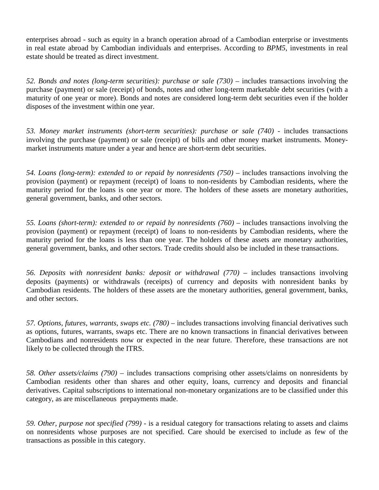enterprises abroad - such as equity in a branch operation abroad of a Cambodian enterprise or investments in real estate abroad by Cambodian individuals and enterprises. According to *BPM5*, investments in real estate should be treated as direct investment.

*52. Bonds and notes (long-term securities): purchase or sale (730)* – includes transactions involving the purchase (payment) or sale (receipt) of bonds, notes and other long-term marketable debt securities (with a maturity of one year or more). Bonds and notes are considered long-term debt securities even if the holder disposes of the investment within one year.

*53. Money market instruments (short-term securities): purchase or sale (740)* - includes transactions involving the purchase (payment) or sale (receipt) of bills and other money market instruments. Moneymarket instruments mature under a year and hence are short-term debt securities.

*54. Loans (long-term): extended to or repaid by nonresidents (750)* – includes transactions involving the provision (payment) or repayment (receipt) of loans to non-residents by Cambodian residents, where the maturity period for the loans is one year or more. The holders of these assets are monetary authorities, general government, banks, and other sectors.

*55. Loans (short-term): extended to or repaid by nonresidents (760)* – includes transactions involving the provision (payment) or repayment (receipt) of loans to non-residents by Cambodian residents, where the maturity period for the loans is less than one year. The holders of these assets are monetary authorities, general government, banks, and other sectors. Trade credits should also be included in these transactions.

*56. Deposits with nonresident banks: deposit or withdrawal (770)* – includes transactions involving deposits (payments) or withdrawals (receipts) of currency and deposits with nonresident banks by Cambodian residents. The holders of these assets are the monetary authorities, general government, banks, and other sectors.

*57. Options, futures, warrants, swaps etc. (780)* – includes transactions involving financial derivatives such as options, futures, warrants, swaps etc. There are no known transactions in financial derivatives between Cambodians and nonresidents now or expected in the near future. Therefore, these transactions are not likely to be collected through the ITRS.

*58. Other assets/claims (790)* – includes transactions comprising other assets/claims on nonresidents by Cambodian residents other than shares and other equity, loans, currency and deposits and financial derivatives. Capital subscriptions to international non-monetary organizations are to be classified under this category, as are miscellaneous prepayments made.

*59. Other, purpose not specified (799)* - is a residual category for transactions relating to assets and claims on nonresidents whose purposes are not specified. Care should be exercised to include as few of the transactions as possible in this category.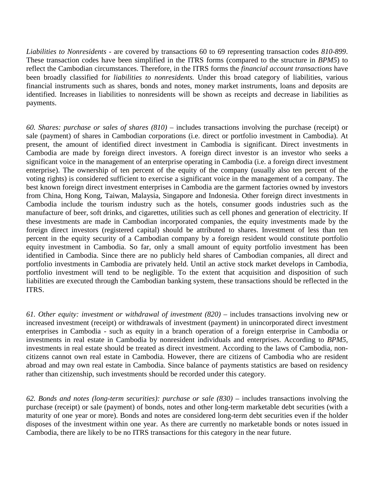*Liabilities to Nonresidents -* are covered by transactions 60 to 69 representing transaction codes *810-899*. These transaction codes have been simplified in the ITRS forms (compared to the structure in *BPM5*) to reflect the Cambodian circumstances. Therefore, in the ITRS forms the *financial account transactions* have been broadly classified for *liabilities to nonresidents.* Under this broad category of liabilities, various financial instruments such as shares, bonds and notes, money market instruments, loans and deposits are identified. Increases in liabilities to nonresidents will be shown as receipts and decrease in liabilities as payments.

*60. Shares: purchase or sales of shares (810)* – includes transactions involving the purchase (receipt) or sale (payment) of shares in Cambodian corporations (i.e. direct or portfolio investment in Cambodia). At present, the amount of identified direct investment in Cambodia is significant. Direct investments in Cambodia are made by foreign direct investors. A foreign direct investor is an investor who seeks a significant voice in the management of an enterprise operating in Cambodia (i.e. a foreign direct investment enterprise). The ownership of ten percent of the equity of the company (usually also ten percent of the voting rights) is considered sufficient to exercise a significant voice in the management of a company. The best known foreign direct investment enterprises in Cambodia are the garment factories owned by investors from China, Hong Kong, Taiwan, Malaysia, Singapore and Indonesia. Other foreign direct investments in Cambodia include the tourism industry such as the hotels, consumer goods industries such as the manufacture of beer, soft drinks, and cigarettes, utilities such as cell phones and generation of electricity. If these investments are made in Cambodian incorporated companies, the equity investments made by the foreign direct investors (registered capital) should be attributed to shares. Investment of less than ten percent in the equity security of a Cambodian company by a foreign resident would constitute portfolio equity investment in Cambodia. So far, only a small amount of equity portfolio investment has been identified in Cambodia. Since there are no publicly held shares of Cambodian companies, all direct and portfolio investments in Cambodia are privately held. Until an active stock market develops in Cambodia, portfolio investment will tend to be negligible. To the extent that acquisition and disposition of such liabilities are executed through the Cambodian banking system, these transactions should be reflected in the ITRS.

*61. Other equity: investment or withdrawal of investment (820)* – includes transactions involving new or increased investment (receipt) or withdrawals of investment (payment) in unincorporated direct investment enterprises in Cambodia - such as equity in a branch operation of a foreign enterprise in Cambodia or investments in real estate in Cambodia by nonresident individuals and enterprises. According to *BPM5*, investments in real estate should be treated as direct investment. According to the laws of Cambodia, noncitizens cannot own real estate in Cambodia. However, there are citizens of Cambodia who are resident abroad and may own real estate in Cambodia. Since balance of payments statistics are based on residency rather than citizenship, such investments should be recorded under this category.

*62. Bonds and notes (long-term securities): purchase or sale (830)* – includes transactions involving the purchase (receipt) or sale (payment) of bonds, notes and other long-term marketable debt securities (with a maturity of one year or more). Bonds and notes are considered long-term debt securities even if the holder disposes of the investment within one year. As there are currently no marketable bonds or notes issued in Cambodia, there are likely to be no ITRS transactions for this category in the near future.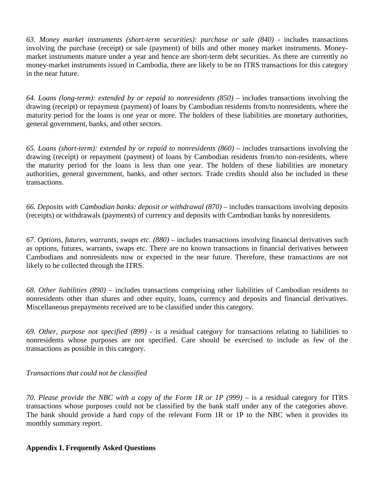*63. Money market instruments (short-term securities): purchase or sale (840)* - includes transactions involving the purchase (receipt) or sale (payment) of bills and other money market instruments. Moneymarket instruments mature under a year and hence are short-term debt securities. As there are currently no money-market instruments issued in Cambodia, there are likely to be no ITRS transactions for this category in the near future.

*64. Loans (long-term): extended by or repaid to nonresidents (850)* – includes transactions involving the drawing (receipt) or repayment (payment) of loans by Cambodian residents from/to nonresidents, where the maturity period for the loans is one year or more. The holders of these liabilities are monetary authorities, general government, banks, and other sectors.

*65. Loans (short-term): extended by or repaid to nonresidents (860)* – includes transactions involving the drawing (receipt) or repayment (payment) of loans by Cambodian residents from/to non-residents, where the maturity period for the loans is less than one year. The holders of these liabilities are monetary authorities, general government, banks, and other sectors. Trade credits should also be included in these transactions.

*66. Deposits with Cambodian banks: deposit or withdrawal (870)* – includes transactions involving deposits (receipts) or withdrawals (payments) of currency and deposits with Cambodian banks by nonresidents.

*67. Options, futures, warrants, swaps etc. (880)* – includes transactions involving financial derivatives such as options, futures, warrants, swaps etc. There are no known transactions in financial derivatives between Cambodians and nonresidents now or expected in the near future. Therefore, these transactions are not likely to be collected through the ITRS.

*68. Other liabilities (890)* – includes transactions comprising other liabilities of Cambodian residents to nonresidents other than shares and other equity, loans, currency and deposits and financial derivatives. Miscellaneous prepayments received are to be classified under this category.

*69. Other, purpose not specified (899)* - is a residual category for transactions relating to liabilities to nonresidents whose purposes are not specified. Care should be exercised to include as few of the transactions as possible in this category.

### *Transactions that could not be classified*

*70. Please provide the NBC with a copy of the Form 1R or 1P (999)* – is a residual category for ITRS transactions whose purposes could not be classified by the bank staff under any of the categories above. The bank should provide a hard copy of the relevant Form 1R or 1P to the NBC when it provides its monthly summary report.

### **Appendix I. Frequently Asked Questions**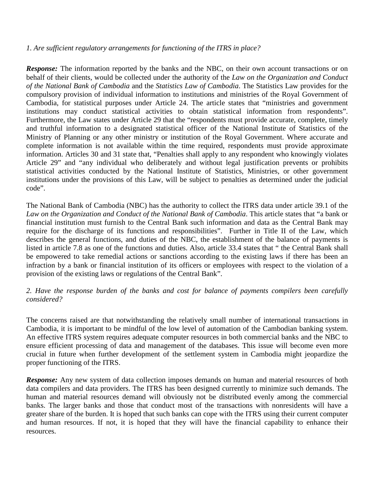### *1. Are sufficient regulatory arrangements for functioning of the ITRS in place?*

*Response:* The information reported by the banks and the NBC, on their own account transactions or on behalf of their clients, would be collected under the authority of the *Law on the Organization and Conduct of the National Bank of Cambodia* and the *Statistics Law of Cambodia*. The Statistics Law provides for the compulsory provision of individual information to institutions and ministries of the Royal Government of Cambodia, for statistical purposes under Article 24. The article states that "ministries and government institutions may conduct statistical activities to obtain statistical information from respondents". Furthermore, the Law states under Article 29 that the "respondents must provide accurate, complete, timely and truthful information to a designated statistical officer of the National Institute of Statistics of the Ministry of Planning or any other ministry or institution of the Royal Government. Where accurate and complete information is not available within the time required, respondents must provide approximate information. Articles 30 and 31 state that, "Penalties shall apply to any respondent who knowingly violates Article 29" and "any individual who deliberately and without legal justification prevents or prohibits statistical activities conducted by the National Institute of Statistics, Ministries, or other government institutions under the provisions of this Law, will be subject to penalties as determined under the judicial code".

The National Bank of Cambodia (NBC) has the authority to collect the ITRS data under article 39.1 of the *Law on the Organization and Conduct of the National Bank of Cambodia*. This article states that "a bank or financial institution must furnish to the Central Bank such information and data as the Central Bank may require for the discharge of its functions and responsibilities". Further in Title II of the Law, which describes the general functions, and duties of the NBC, the establishment of the balance of payments is listed in article 7.8 as one of the functions and duties. Also, article 33.4 states that " the Central Bank shall be empowered to take remedial actions or sanctions according to the existing laws if there has been an infraction by a bank or financial institution of its officers or employees with respect to the violation of a provision of the existing laws or regulations of the Central Bank".

### *2. Have the response burden of the banks and cost for balance of payments compilers been carefully considered?*

The concerns raised are that notwithstanding the relatively small number of international transactions in Cambodia, it is important to be mindful of the low level of automation of the Cambodian banking system. An effective ITRS system requires adequate computer resources in both commercial banks and the NBC to ensure efficient processing of data and management of the databases. This issue will become even more crucial in future when further development of the settlement system in Cambodia might jeopardize the proper functioning of the ITRS.

*Response:* Any new system of data collection imposes demands on human and material resources of both data compilers and data providers. The ITRS has been designed currently to minimize such demands. The human and material resources demand will obviously not be distributed evenly among the commercial banks. The larger banks and those that conduct most of the transactions with nonresidents will have a greater share of the burden. It is hoped that such banks can cope with the ITRS using their current computer and human resources. If not, it is hoped that they will have the financial capability to enhance their resources.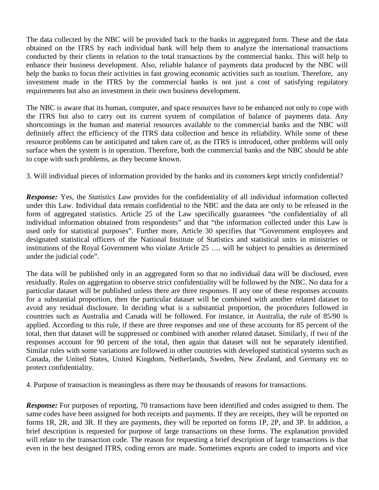The data collected by the NBC will be provided back to the banks in aggregated form. These and the data obtained on the ITRS by each individual bank will help them to analyze the international transactions conducted by their clients in relation to the total transactions by the commercial banks. This will help to enhance their business development. Also, reliable balance of payments data produced by the NBC will help the banks to focus their activities in fast growing economic activities such as tourism. Therefore, any investment made in the ITRS by the commercial banks is not just a cost of satisfying regulatory requirements but also an investment in their own business development.

The NBC is aware that its human, computer, and space resources have to be enhanced not only to cope with the ITRS but also to carry out its current system of compilation of balance of payments data. Any shortcomings in the human and material resources available to the commercial banks and the NBC will definitely affect the efficiency of the ITRS data collection and hence its reliability. While some of these resource problems can be anticipated and taken care of, as the ITRS is introduced, other problems will only surface when the system is in operation. Therefore, both the commercial banks and the NBC should be able to cope with such problems, as they become known.

3. Will individual pieces of information provided by the banks and its customers kept strictly confidential?

*Response:* Yes, the *Statistics Law* provides for the confidentiality of all individual information collected under this Law. Individual data remain confidential to the NBC and the data are only to be released in the form of aggregated statistics. Article 25 of the Law specifically guarantees "the confidentiality of all individual information obtained from respondents" and that "the information collected under this Law is used only for statistical purposes". Further more, Article 30 specifies that "Government employees and designated statistical officers of the National Institute of Statistics and statistical units in ministries or institutions of the Royal Government who violate Article 25 …. will be subject to penalties as determined under the judicial code".

The data will be published only in an aggregated form so that no individual data will be disclosed, even residually. Rules on aggregation to observe strict confidentiality will be followed by the NBC. No data for a particular dataset will be published unless there are three responses. If any one of these responses accounts for a substantial proportion, then the particular dataset will be combined with another related dataset to avoid any residual disclosure. In deciding what is a substantial proportion, the procedures followed in countries such as Australia and Canada will be followed. For instance, in Australia, the rule of 85/90 is applied. According to this rule, if there are three responses and one of these accounts for 85 percent of the total, then that dataset will be suppressed or combined with another related dataset. Similarly, if two of the responses account for 90 percent of the total, then again that dataset will not be separately identified. Similar rules with some variations are followed in other countries with developed statistical systems such as Canada, the United States, United Kingdom, Netherlands, Sweden, New Zealand, and Germany etc to protect confidentiality.

4. Purpose of transaction is meaningless as there may be thousands of reasons for transactions.

*Response:* For purposes of reporting, 70 transactions have been identified and codes assigned to them. The same codes have been assigned for both receipts and payments. If they are receipts, they will be reported on forms 1R, 2R, and 3R. If they are payments, they will be reported on forms 1P, 2P, and 3P. In addition, a brief description is requested for purpose of large transactions on these forms. The explanation provided will relate to the transaction code. The reason for requesting a brief description of large transactions is that even in the best designed ITRS, coding errors are made. Sometimes exports are coded to imports and vice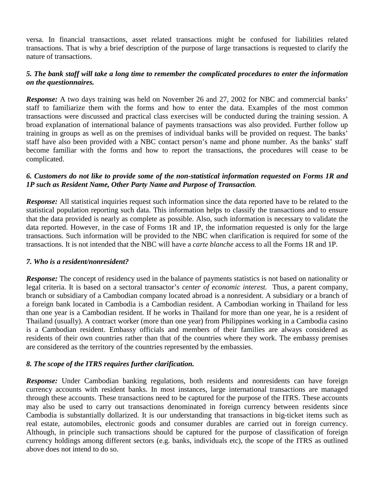versa. In financial transactions, asset related transactions might be confused for liabilities related transactions. That is why a brief description of the purpose of large transactions is requested to clarify the nature of transactions.

### *5. The bank staff will take a long time to remember the complicated procedures to enter the information on the questionnaires.*

*Response:* A two days training was held on November 26 and 27, 2002 for NBC and commercial banks' staff to familiarize them with the forms and how to enter the data. Examples of the most common transactions were discussed and practical class exercises will be conducted during the training session. A broad explanation of international balance of payments transactions was also provided. Further follow up training in groups as well as on the premises of individual banks will be provided on request. The banks' staff have also been provided with a NBC contact person's name and phone number. As the banks' staff become familiar with the forms and how to report the transactions, the procedures will cease to be complicated.

### *6. Customers do not like to provide some of the non-statistical information requested on Forms 1R and 1P such as Resident Name, Other Party Name and Purpose of Transaction.*

*Response:* All statistical inquiries request such information since the data reported have to be related to the statistical population reporting such data. This information helps to classify the transactions and to ensure that the data provided is nearly as complete as possible. Also, such information is necessary to validate the data reported. However, in the case of Forms 1R and 1P, the information requested is only for the large transactions. Such information will be provided to the NBC when clarification is required for some of the transactions. It is not intended that the NBC will have a *carte blanche* access to all the Forms 1R and 1P.

### *7. Who is a resident/nonresident?*

*Response:* The concept of residency used in the balance of payments statistics is not based on nationality or legal criteria. It is based on a sectoral transactor's *center of economic interest.* Thus, a parent company, branch or subsidiary of a Cambodian company located abroad is a nonresident. A subsidiary or a branch of a foreign bank located in Cambodia is a Cambodian resident. A Cambodian working in Thailand for less than one year is a Cambodian resident. If he works in Thailand for more than one year, he is a resident of Thailand (usually). A contract worker (more than one year) from Philippines working in a Cambodia casino is a Cambodian resident. Embassy officials and members of their families are always considered as residents of their own countries rather than that of the countries where they work. The embassy premises are considered as the territory of the countries represented by the embassies.

### *8. The scope of the ITRS requires further clarification.*

*Response:* Under Cambodian banking regulations, both residents and nonresidents can have foreign currency accounts with resident banks. In most instances, large international transactions are managed through these accounts. These transactions need to be captured for the purpose of the ITRS. These accounts may also be used to carry out transactions denominated in foreign currency between residents since Cambodia is substantially dollarized. It is our understanding that transactions in big-ticket items such as real estate, automobiles, electronic goods and consumer durables are carried out in foreign currency. Although, in principle such transactions should be captured for the purpose of classification of foreign currency holdings among different sectors (e.g. banks, individuals etc), the scope of the ITRS as outlined above does not intend to do so.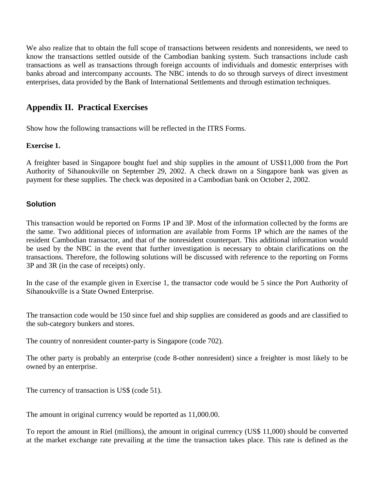We also realize that to obtain the full scope of transactions between residents and nonresidents, we need to know the transactions settled outside of the Cambodian banking system. Such transactions include cash transactions as well as transactions through foreign accounts of individuals and domestic enterprises with banks abroad and intercompany accounts. The NBC intends to do so through surveys of direct investment enterprises, data provided by the Bank of International Settlements and through estimation techniques.

### **Appendix II. Practical Exercises**

Show how the following transactions will be reflected in the ITRS Forms.

### **Exercise 1.**

A freighter based in Singapore bought fuel and ship supplies in the amount of US\$11,000 from the Port Authority of Sihanoukville on September 29, 2002. A check drawn on a Singapore bank was given as payment for these supplies. The check was deposited in a Cambodian bank on October 2, 2002.

### **Solution**

This transaction would be reported on Forms 1P and 3P. Most of the information collected by the forms are the same. Two additional pieces of information are available from Forms 1P which are the names of the resident Cambodian transactor, and that of the nonresident counterpart. This additional information would be used by the NBC in the event that further investigation is necessary to obtain clarifications on the transactions. Therefore, the following solutions will be discussed with reference to the reporting on Forms 3P and 3R (in the case of receipts) only.

In the case of the example given in Exercise 1, the transactor code would be 5 since the Port Authority of Sihanoukville is a State Owned Enterprise.

The transaction code would be 150 since fuel and ship supplies are considered as goods and are classified to the sub-category bunkers and stores.

The country of nonresident counter-party is Singapore (code 702).

The other party is probably an enterprise (code 8-other nonresident) since a freighter is most likely to be owned by an enterprise.

The currency of transaction is US\$ (code 51).

The amount in original currency would be reported as 11,000.00.

To report the amount in Riel (millions), the amount in original currency (US\$ 11,000) should be converted at the market exchange rate prevailing at the time the transaction takes place. This rate is defined as the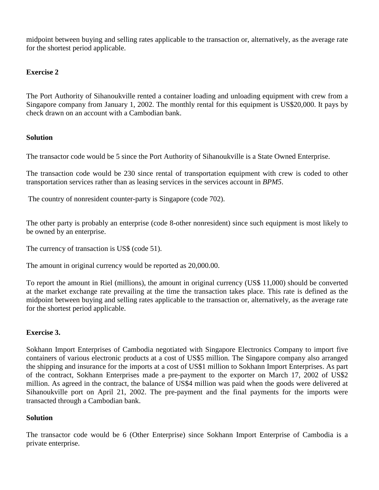midpoint between buying and selling rates applicable to the transaction or, alternatively, as the average rate for the shortest period applicable.

### **Exercise 2**

The Port Authority of Sihanoukville rented a container loading and unloading equipment with crew from a Singapore company from January 1, 2002. The monthly rental for this equipment is US\$20,000. It pays by check drawn on an account with a Cambodian bank.

### **Solution**

The transactor code would be 5 since the Port Authority of Sihanoukville is a State Owned Enterprise.

The transaction code would be 230 since rental of transportation equipment with crew is coded to other transportation services rather than as leasing services in the services account in *BPM5*.

The country of nonresident counter-party is Singapore (code 702).

The other party is probably an enterprise (code 8-other nonresident) since such equipment is most likely to be owned by an enterprise.

The currency of transaction is US\$ (code 51).

The amount in original currency would be reported as 20,000.00.

To report the amount in Riel (millions), the amount in original currency (US\$ 11,000) should be converted at the market exchange rate prevailing at the time the transaction takes place. This rate is defined as the midpoint between buying and selling rates applicable to the transaction or, alternatively, as the average rate for the shortest period applicable.

### **Exercise 3.**

Sokhann Import Enterprises of Cambodia negotiated with Singapore Electronics Company to import five containers of various electronic products at a cost of US\$5 million. The Singapore company also arranged the shipping and insurance for the imports at a cost of US\$1 million to Sokhann Import Enterprises. As part of the contract, Sokhann Enterprises made a pre-payment to the exporter on March 17, 2002 of US\$2 million. As agreed in the contract, the balance of US\$4 million was paid when the goods were delivered at Sihanoukville port on April 21, 2002. The pre-payment and the final payments for the imports were transacted through a Cambodian bank.

### **Solution**

The transactor code would be 6 (Other Enterprise) since Sokhann Import Enterprise of Cambodia is a private enterprise.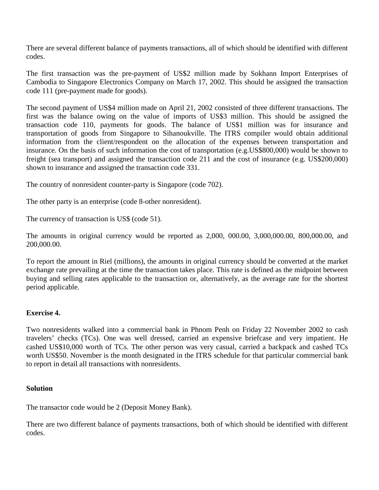There are several different balance of payments transactions, all of which should be identified with different codes.

The first transaction was the pre-payment of US\$2 million made by Sokhann Import Enterprises of Cambodia to Singapore Electronics Company on March 17, 2002. This should be assigned the transaction code 111 (pre-payment made for goods).

The second payment of US\$4 million made on April 21, 2002 consisted of three different transactions. The first was the balance owing on the value of imports of US\$3 million. This should be assigned the transaction code 110, payments for goods. The balance of US\$1 million was for insurance and transportation of goods from Singapore to Sihanoukville. The ITRS compiler would obtain additional information from the client/respondent on the allocation of the expenses between transportation and insurance. On the basis of such information the cost of transportation (e.g.US\$800,000) would be shown to freight (sea transport) and assigned the transaction code 211 and the cost of insurance (e.g. US\$200,000) shown to insurance and assigned the transaction code 331.

The country of nonresident counter-party is Singapore (code 702).

The other party is an enterprise (code 8-other nonresident).

The currency of transaction is US\$ (code 51).

The amounts in original currency would be reported as 2,000, 000.00, 3,000,000.00, 800,000.00, and 200,000.00.

To report the amount in Riel (millions), the amounts in original currency should be converted at the market exchange rate prevailing at the time the transaction takes place. This rate is defined as the midpoint between buying and selling rates applicable to the transaction or, alternatively, as the average rate for the shortest period applicable.

### **Exercise 4.**

Two nonresidents walked into a commercial bank in Phnom Penh on Friday 22 November 2002 to cash travelers' checks (TCs). One was well dressed, carried an expensive briefcase and very impatient. He cashed US\$10,000 worth of TCs. The other person was very casual, carried a backpack and cashed TCs worth US\$50. November is the month designated in the ITRS schedule for that particular commercial bank to report in detail all transactions with nonresidents.

### **Solution**

The transactor code would be 2 (Deposit Money Bank).

There are two different balance of payments transactions, both of which should be identified with different codes.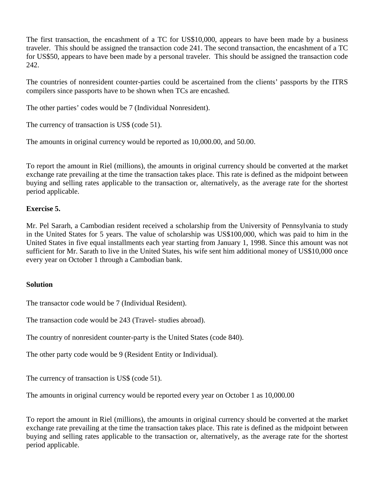The first transaction, the encashment of a TC for US\$10,000, appears to have been made by a business traveler. This should be assigned the transaction code 241. The second transaction, the encashment of a TC for US\$50, appears to have been made by a personal traveler. This should be assigned the transaction code 242.

The countries of nonresident counter-parties could be ascertained from the clients' passports by the ITRS compilers since passports have to be shown when TCs are encashed.

The other parties' codes would be 7 (Individual Nonresident).

The currency of transaction is US\$ (code 51).

The amounts in original currency would be reported as 10,000.00, and 50.00.

To report the amount in Riel (millions), the amounts in original currency should be converted at the market exchange rate prevailing at the time the transaction takes place. This rate is defined as the midpoint between buying and selling rates applicable to the transaction or, alternatively, as the average rate for the shortest period applicable.

### **Exercise 5.**

Mr. Pel Sararh, a Cambodian resident received a scholarship from the University of Pennsylvania to study in the United States for 5 years. The value of scholarship was US\$100,000, which was paid to him in the United States in five equal installments each year starting from January 1, 1998. Since this amount was not sufficient for Mr. Sarath to live in the United States, his wife sent him additional money of US\$10,000 once every year on October 1 through a Cambodian bank.

### **Solution**

The transactor code would be 7 (Individual Resident).

The transaction code would be 243 (Travel- studies abroad).

The country of nonresident counter-party is the United States (code 840).

The other party code would be 9 (Resident Entity or Individual).

The currency of transaction is US\$ (code 51).

The amounts in original currency would be reported every year on October 1 as 10,000.00

To report the amount in Riel (millions), the amounts in original currency should be converted at the market exchange rate prevailing at the time the transaction takes place. This rate is defined as the midpoint between buying and selling rates applicable to the transaction or, alternatively, as the average rate for the shortest period applicable.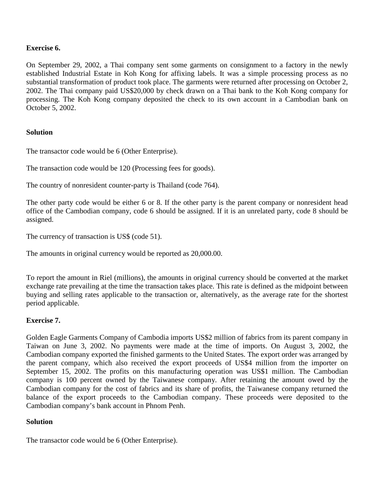### **Exercise 6.**

On September 29, 2002, a Thai company sent some garments on consignment to a factory in the newly established Industrial Estate in Koh Kong for affixing labels. It was a simple processing process as no substantial transformation of product took place. The garments were returned after processing on October 2, 2002. The Thai company paid US\$20,000 by check drawn on a Thai bank to the Koh Kong company for processing. The Koh Kong company deposited the check to its own account in a Cambodian bank on October 5, 2002.

### **Solution**

The transactor code would be 6 (Other Enterprise).

The transaction code would be 120 (Processing fees for goods).

The country of nonresident counter-party is Thailand (code 764).

The other party code would be either 6 or 8. If the other party is the parent company or nonresident head office of the Cambodian company, code 6 should be assigned. If it is an unrelated party, code 8 should be assigned.

The currency of transaction is US\$ (code 51).

The amounts in original currency would be reported as 20,000.00.

To report the amount in Riel (millions), the amounts in original currency should be converted at the market exchange rate prevailing at the time the transaction takes place. This rate is defined as the midpoint between buying and selling rates applicable to the transaction or, alternatively, as the average rate for the shortest period applicable.

### **Exercise 7.**

Golden Eagle Garments Company of Cambodia imports US\$2 million of fabrics from its parent company in Taiwan on June 3, 2002. No payments were made at the time of imports. On August 3, 2002, the Cambodian company exported the finished garments to the United States. The export order was arranged by the parent company, which also received the export proceeds of US\$4 million from the importer on September 15, 2002. The profits on this manufacturing operation was US\$1 million. The Cambodian company is 100 percent owned by the Taiwanese company. After retaining the amount owed by the Cambodian company for the cost of fabrics and its share of profits, the Taiwanese company returned the balance of the export proceeds to the Cambodian company. These proceeds were deposited to the Cambodian company's bank account in Phnom Penh.

### **Solution**

The transactor code would be 6 (Other Enterprise).